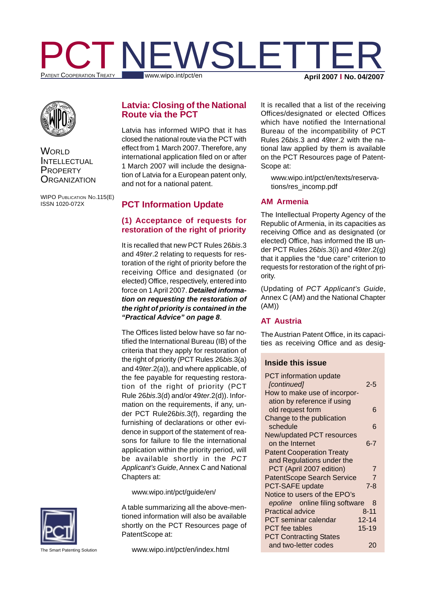



**WORLD** INTELLECTUAL **PROPERTY ORGANIZATION** 

WIPO PUBLICATION NO.115(E) ISSN 1020-072X

# **Latvia: Closing of the National Route via the PCT**

Latvia has informed WIPO that it has closed the national route via the PCT with effect from 1 March 2007. Therefore, any international application filed on or after 1 March 2007 will include the designation of Latvia for a European patent only, and not for a national patent.

# **PCT Information Update**

# **(1) Acceptance of requests for restoration of the right of priority**

It is recalled that new PCT Rules 26*bis*.3 and 49*ter*.2 relating to requests for restoration of the right of priority before the receiving Office and designated (or elected) Office, respectively, entered into force on 1 April 2007. *Detailed information on requesting the restoration of the right of priority is contained in the "Practical Advice" on page 8*.

The Offices listed below have so far notified the International Bureau (IB) of the criteria that they apply for restoration of the right of priority (PCT Rules 26*bis*.3(a) and 49*ter*.2(a)), and where applicable, of the fee payable for requesting restoration of the right of priority (PCT Rule 26*bis*.3(d) and/or 49*ter*.2(d)). Information on the requirements, if any, under PCT Rule26*bis*.3(f), regarding the furnishing of declarations or other evidence in support of the statement of reasons for failure to file the international application within the priority period, will be available shortly in the *PCT Applicant's Guide*, Annex C and National Chapters at:

#### www.wipo.int/pct/guide/en/

A table summarizing all the above-mentioned information will also be available shortly on the PCT Resources page of PatentScope at:

It is recalled that a list of the receiving Offices/designated or elected Offices which have notified the International Bureau of the incompatibility of PCT Rules 26*bis*.3 and 49*ter*.2 with the national law applied by them is available on the PCT Resources page of Patent-Scope at:

www.wipo.int/pct/en/texts/reservations/res\_incomp.pdf

## **AM Armenia**

The Intellectual Property Agency of the Republic of Armenia, in its capacities as receiving Office and as designated (or elected) Office, has informed the IB under PCT Rules 26*bis*.3(i) and 49*ter*.2(g) that it applies the "due care" criterion to requests for restoration of the right of priority.

(Updating of *PCT Applicant's Guide*, Annex C (AM) and the National Chapter (AM))

# **AT Austria**

The Austrian Patent Office, in its capacities as receiving Office and as desig-

## **Inside this issue**

| <b>PCT</b> information update                    |  |
|--------------------------------------------------|--|
| [continued]<br>2-5                               |  |
| How to make use of incorpor-                     |  |
| ation by reference if using                      |  |
| old request form<br>6                            |  |
| Change to the publication                        |  |
| schedule<br>6                                    |  |
| New/updated PCT resources                        |  |
| on the Internet<br>ճ-7                           |  |
| <b>Patent Cooperation Treaty</b>                 |  |
| and Regulations under the                        |  |
| PCT (April 2007 edition)<br>7                    |  |
| <b>PatentScope Search Service</b><br>7           |  |
| <b>PCT-SAFE update</b><br>7-8                    |  |
| Notice to users of the EPO's                     |  |
| epoline <sup>®</sup> online filing software<br>8 |  |
| <b>Practical advice</b><br>$8 - 11$              |  |
| <b>PCT</b> seminar calendar<br>$12 - 14$         |  |
| $15 - 19$<br><b>PCT</b> fee tables               |  |
| <b>PCT Contracting States</b>                    |  |
| and two-letter codes<br>20                       |  |



he Smart Patenting Solution

www.wipo.int/pct/en/index.html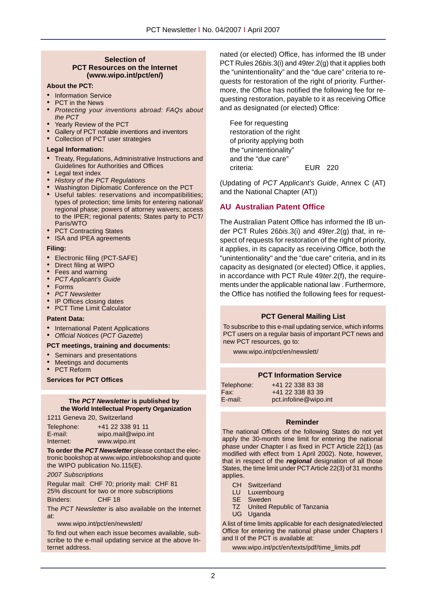#### **Selection of PCT Resources on the Internet (www.wipo.int/pct/en/)**

#### **About the PCT:**

- Information Service
- PCT in the News
- *Protecting your inventions abroad: FAQs about the PCT*
- Yearly Review of the PCT
- Gallery of PCT notable inventions and inventors
- Collection of PCT user strategies

#### **Legal Information:**

- Treaty, Regulations, Administrative Instructions and Guidelines for Authorities and Offices
- Legal text index
- *• History of the PCT Regulations*
- Washington Diplomatic Conference on the PCT
- Useful tables: reservations and incompatibilities; types of protection; time limits for entering national/ regional phase; powers of attorney waivers; access to the IPER; regional patents; States party to PCT/ Paris/WTO
- PCT Contracting States
- ISA and IPEA agreements

#### **Filing:**

- Electronic filing (PCT-SAFE)
- Direct filing at WIPO
- Fees and warning
- *• PCT Applicant's Guide*
- Forms
- *• PCT Newsletter*
- IP Offices closing dates
- PCT Time Limit Calculator

#### **Patent Data:**

- International Patent Applications
- *Official Notices* (*PCT Gazette*)

#### **PCT meetings, training and documents:**

- Seminars and presentations
- Meetings and documents
- PCT Reform

**Services for PCT Offices**

#### **The** *PCT Newsletter* **is published by the World Intellectual Property Organization**

1211 Geneva 20, Switzerland

| Telephone: | +41 22 338 91 11   |
|------------|--------------------|
| E-mail:    | wipo.mail@wipo.int |
| Internet:  | www.wipo.int       |

**To order the** *PCT Newsletter* please contact the electronic bookshop at www.wipo.int/ebookshop and quote the WIPO publication No.115(E).

*2007 Subscriptions*

Regular mail: CHF 70; priority mail: CHF 81 25% discount for two or more subscriptions Binders: CHF 18

The *PCT Newsletter* is also available on the Internet at:

www.wipo.int/pct/en/newslett/

To find out when each issue becomes available, subscribe to the e-mail updating service at the above Internet address.

nated (or elected) Office, has informed the IB under PCT Rules 26*bis*.3(i) and 49*ter*.2(g) that it applies both the "unintentionality" and the "due care" criteria to requests for restoration of the right of priority. Furthermore, the Office has notified the following fee for requesting restoration, payable to it as receiving Office and as designated (or elected) Office:

Fee for requesting restoration of the right of priority applying both the "unintentionality" and the "due care" criteria: EUR 220

(Updating of *PCT Applicant's Guide*, Annex C (AT) and the National Chapter (AT))

#### **AU Australian Patent Office**

The Australian Patent Office has informed the IB under PCT Rules 26*bis*.3(i) and 49*ter*.2(g) that, in respect of requests for restoration of the right of priority, it applies, in its capacity as receiving Office, both the "unintentionality" and the "due care" criteria, and in its capacity as designated (or elected) Office, it applies, in accordance with PCT Rule 49*ter*.2(f), the requirements under the applicable national law . Furthermore, the Office has notified the following fees for request-

# **PCT General Mailing List PCT General Mailing List**

To subscribe to this e-mail updating service, which To subscribe to this e-mail updating service, which informs  $\overline{P}$  is subscribe to this e-mail updating service, which important  $\overline{P}$ PCT users on a regular basis of important PCT news and<br>sour PCT assesses are the bottom of the bottom of the bottom of the bottom of the bottom of the bottom of the b new PCT resources, go to:

www.wipo.int/pct/en/newslett/

## **PCT Information Service**

| Telephone: | +41 22 338 83 38      |
|------------|-----------------------|
| Fax:       | +41 22 338 83 39      |
| E-mail:    | pct.infoline@wipo.int |

#### **Reminder**

The national Offices of the following States do not yet apply the 30-month time limit for entering the national phase under Chapter I as fixed in PCT Article 22(1) (as modified with effect from 1 April 2002). Note, however, that in respect of the *regional* designation of all those States, the time limit under PCT Article 22(3) of 31 months applies.

- CH Switzerland
- LU Luxembourg
- SE Sweden
- TZ United Republic of Tanzania
- UG Uganda

A list of time limits applicable for each designated/elected Office for entering the national phase under Chapters I and II of the PCT is available at:

www.wipo.int/pct/en/texts/pdf/time\_limits.pdf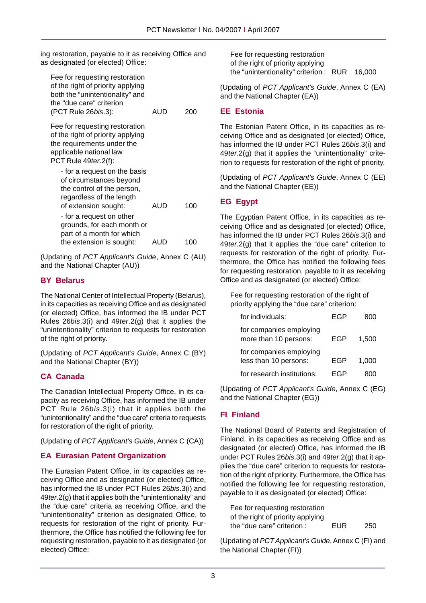ing restoration, payable to it as receiving Office and as designated (or elected) Office:

| Fee for requesting restoration<br>of the right of priority applying<br>both the "unintentionality" and<br>the "due care" criterion<br>(PCT Rule 26bis.3): | AUD | 200 |
|-----------------------------------------------------------------------------------------------------------------------------------------------------------|-----|-----|
| Fee for requesting restoration<br>of the right of priority applying<br>the requirements under the<br>applicable national law<br>PCT Rule 49 ter. 2(f):    |     |     |
| - for a request on the basis<br>of circumstances beyond<br>the control of the person,<br>regardless of the length<br>of extension sought:                 | AUD | 100 |
| - for a request on other<br>grounds, for each month or<br>part of a month for which<br>the extension is sought:                                           | AUD | 10C |

(Updating of *PCT Applicant's Guide*, Annex C (AU) and the National Chapter (AU))

## **BY Belarus**

The National Center of Intellectual Property (Belarus), in its capacities as receiving Office and as designated (or elected) Office, has informed the IB under PCT Rules 26*bis*.3(i) and 49*ter*.2(g) that it applies the "unintentionality" criterion to requests for restoration of the right of priority.

(Updating of *PCT Applicant's Guide*, Annex C (BY) and the National Chapter (BY))

# **CA Canada**

The Canadian Intellectual Property Office, in its capacity as receiving Office, has informed the IB under PCT Rule 26*bis*.3(i) that it applies both the "unintentionality" and the "due care" criteria to requests for restoration of the right of priority.

(Updating of *PCT Applicant's Guide*, Annex C (CA))

# **EA Eurasian Patent Organization**

The Eurasian Patent Office, in its capacities as receiving Office and as designated (or elected) Office, has informed the IB under PCT Rules 26*bis*.3(i) and 49*ter*.2(g) that it applies both the "unintentionality" and the "due care" criteria as receiving Office, and the "unintentionality" criterion as designated Office, to requests for restoration of the right of priority. Furthermore, the Office has notified the following fee for requesting restoration, payable to it as designated (or elected) Office:

Fee for requesting restoration of the right of priority applying the "unintentionality" criterion : RUR 16,000

(Updating of *PCT Applicant's Guide*, Annex C (EA) and the National Chapter (EA))

## **EE Estonia**

The Estonian Patent Office, in its capacities as receiving Office and as designated (or elected) Office, has informed the IB under PCT Rules 26*bis*.3(i) and 49*ter*.2(g) that it applies the "unintentionality" criterion to requests for restoration of the right of priority.

(Updating of *PCT Applicant's Guide*, Annex C (EE) and the National Chapter (EE))

## **EG Egypt**

The Egyptian Patent Office, in its capacities as receiving Office and as designated (or elected) Office, has informed the IB under PCT Rules 26*bis*.3(i) and 49*ter*.2(g) that it applies the "due care" criterion to requests for restoration of the right of priority. Furthermore, the Office has notified the following fees for requesting restoration, payable to it as receiving Office and as designated (or elected) Office:

Fee for requesting restoration of the right of priority applying the "due care" criterion:

| for individuals:                                 | FGP |       |
|--------------------------------------------------|-----|-------|
| for companies employing<br>more than 10 persons: | EGP | 1.500 |
| for companies employing<br>less than 10 persons: | FGP | 1,000 |
| for research institutions:                       | FGP |       |

(Updating of *PCT Applicant's Guide*, Annex C (EG) and the National Chapter (EG))

# **FI Finland**

The National Board of Patents and Registration of Finland, in its capacities as receiving Office and as designated (or elected) Office, has informed the IB under PCT Rules 26*bis*.3(i) and 49*ter*.2(g) that it applies the "due care" criterion to requests for restoration of the right of priority. Furthermore, the Office has notified the following fee for requesting restoration, payable to it as designated (or elected) Office:

| Fee for requesting restoration    |     |     |
|-----------------------------------|-----|-----|
| of the right of priority applying |     |     |
| the "due care" criterion :        | EUR | 250 |

(Updating of *PCT Applicant's Guide*, Annex C (FI) and the National Chapter (FI))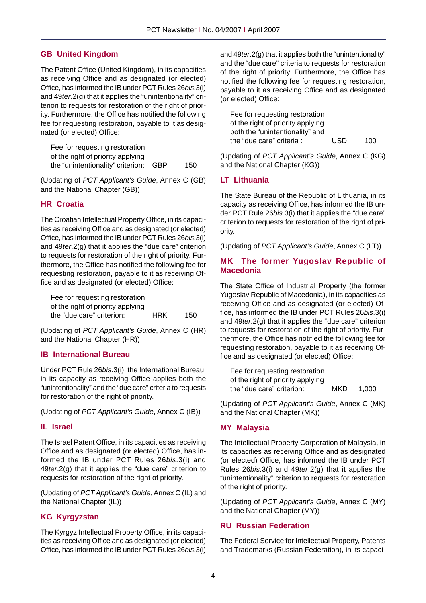# **GB United Kingdom**

The Patent Office (United Kingdom), in its capacities as receiving Office and as designated (or elected) Office, has informed the IB under PCT Rules 26*bis*.3(i) and 49*ter*.2(g) that it applies the "unintentionality" criterion to requests for restoration of the right of priority. Furthermore, the Office has notified the following fee for requesting restoration, payable to it as designated (or elected) Office:

Fee for requesting restoration of the right of priority applying the "unintentionality" criterion: GBP 150

(Updating of *PCT Applicant's Guide*, Annex C (GB) and the National Chapter (GB))

## **HR Croatia**

The Croatian Intellectual Property Office, in its capacities as receiving Office and as designated (or elected) Office, has informed the IB under PCT Rules 26*bis*.3(i) and 49*ter*.2(g) that it applies the "due care" criterion to requests for restoration of the right of priority. Furthermore, the Office has notified the following fee for requesting restoration, payable to it as receiving Office and as designated (or elected) Office:

Fee for requesting restoration of the right of priority applying the "due care" criterion: HRK 150

(Updating of *PCT Applicant's Guide*, Annex C (HR) and the National Chapter (HR))

# **IB International Bureau**

Under PCT Rule 26*bis*.3(i), the International Bureau, in its capacity as receiving Office applies both the "unintentionality" and the "due care" criteria to requests for restoration of the right of priority.

(Updating of *PCT Applicant's Guide*, Annex C (IB))

## **IL Israel**

The Israel Patent Office, in its capacities as receiving Office and as designated (or elected) Office, has informed the IB under PCT Rules 26*bis*.3(i) and 49*ter*.2(g) that it applies the "due care" criterion to requests for restoration of the right of priority.

(Updating of *PCT Applicant's Guide*, Annex C (IL) and the National Chapter (IL))

# **KG Kyrgyzstan**

The Kyrgyz Intellectual Property Office, in its capacities as receiving Office and as designated (or elected) Office, has informed the IB under PCT Rules 26*bis*.3(i) and 49*ter*.2(g) that it applies both the "unintentionality" and the "due care" criteria to requests for restoration of the right of priority. Furthermore, the Office has notified the following fee for requesting restoration, payable to it as receiving Office and as designated (or elected) Office:

| Fee for requesting restoration    |     |     |
|-----------------------------------|-----|-----|
| of the right of priority applying |     |     |
| both the "unintentionality" and   |     |     |
| the "due care" criteria :         | USD | 100 |

(Updating of *PCT Applicant's Guide*, Annex C (KG) and the National Chapter (KG))

# **LT Lithuania**

The State Bureau of the Republic of Lithuania, in its capacity as receiving Office, has informed the IB under PCT Rule 26*bis*.3(i) that it applies the "due care" criterion to requests for restoration of the right of priority.

(Updating of *PCT Applicant's Guide*, Annex C (LT))

## **MK The former Yugoslav Republic of Macedonia**

The State Office of Industrial Property (the former Yugoslav Republic of Macedonia), in its capacities as receiving Office and as designated (or elected) Office, has informed the IB under PCT Rules 26*bis*.3(i) and 49*ter*.2(g) that it applies the "due care" criterion to requests for restoration of the right of priority. Furthermore, the Office has notified the following fee for requesting restoration, payable to it as receiving Office and as designated (or elected) Office:

| Fee for requesting restoration    |     |       |
|-----------------------------------|-----|-------|
| of the right of priority applying |     |       |
| the "due care" criterion:         | MKD | 1.000 |

(Updating of *PCT Applicant's Guide*, Annex C (MK) and the National Chapter (MK))

## **MY Malaysia**

The Intellectual Property Corporation of Malaysia, in its capacities as receiving Office and as designated (or elected) Office, has informed the IB under PCT Rules 26*bis*.3(i) and 49*ter*.2(g) that it applies the "unintentionality" criterion to requests for restoration of the right of priority.

(Updating of *PCT Applicant's Guide*, Annex C (MY) and the National Chapter (MY))

## **RU Russian Federation**

The Federal Service for Intellectual Property, Patents and Trademarks (Russian Federation), in its capaci-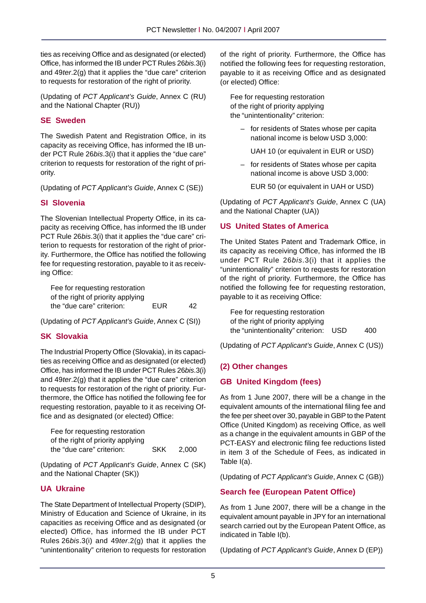ties as receiving Office and as designated (or elected) Office, has informed the IB under PCT Rules 26*bis*.3(i) and 49*ter*.2(g) that it applies the "due care" criterion to requests for restoration of the right of priority.

(Updating of *PCT Applicant's Guide*, Annex C (RU) and the National Chapter (RU))

# **SE Sweden**

The Swedish Patent and Registration Office, in its capacity as receiving Office, has informed the IB under PCT Rule 26*bis*.3(i) that it applies the "due care" criterion to requests for restoration of the right of priority.

(Updating of *PCT Applicant's Guide*, Annex C (SE))

# **SI Slovenia**

The Slovenian Intellectual Property Office, in its capacity as receiving Office, has informed the IB under PCT Rule 26*bis*.3(i) that it applies the "due care" criterion to requests for restoration of the right of priority. Furthermore, the Office has notified the following fee for requesting restoration, payable to it as receiving Office:

Fee for requesting restoration of the right of priority applying the "due care" criterion: EUR 42

(Updating of *PCT Applicant's Guide*, Annex C (SI))

# **SK Slovakia**

The Industrial Property Office (Slovakia), in its capacities as receiving Office and as designated (or elected) Office, has informed the IB under PCT Rules 26*bis*.3(i) and 49*ter*.2(g) that it applies the "due care" criterion to requests for restoration of the right of priority. Furthermore, the Office has notified the following fee for requesting restoration, payable to it as receiving Office and as designated (or elected) Office:

| Fee for requesting restoration    |            |       |
|-----------------------------------|------------|-------|
| of the right of priority applying |            |       |
| the "due care" criterion:         | <b>SKK</b> | 2.000 |

(Updating of *PCT Applicant's Guide*, Annex C (SK) and the National Chapter (SK))

# **UA Ukraine**

The State Department of Intellectual Property (SDIP), Ministry of Education and Science of Ukraine, in its capacities as receiving Office and as designated (or elected) Office, has informed the IB under PCT Rules 26*bis*.3(i) and 49*ter*.2(g) that it applies the "unintentionality" criterion to requests for restoration of the right of priority. Furthermore, the Office has notified the following fees for requesting restoration, payable to it as receiving Office and as designated (or elected) Office:

Fee for requesting restoration of the right of priority applying the "unintentionality" criterion:

> – for residents of States whose per capita national income is below USD 3,000:

UAH 10 (or equivalent in EUR or USD)

– for residents of States whose per capita national income is above USD 3,000:

EUR 50 (or equivalent in UAH or USD)

(Updating of *PCT Applicant's Guide*, Annex C (UA) and the National Chapter (UA))

## **US United States of America**

The United States Patent and Trademark Office, in its capacity as receiving Office, has informed the IB under PCT Rule 26*bis*.3(i) that it applies the "unintentionality" criterion to requests for restoration of the right of priority. Furthermore, the Office has notified the following fee for requesting restoration, payable to it as receiving Office:

Fee for requesting restoration of the right of priority applying the "unintentionality" criterion: USD 400

(Updating of *PCT Applicant's Guide*, Annex C (US))

# **(2) Other changes**

# **GB United Kingdom (fees)**

As from 1 June 2007, there will be a change in the equivalent amounts of the international filing fee and the fee per sheet over 30, payable in GBP to the Patent Office (United Kingdom) as receiving Office, as well as a change in the equivalent amounts in GBP of the PCT-EASY and electronic filing fee reductions listed in item 3 of the Schedule of Fees, as indicated in Table I(a).

(Updating of *PCT Applicant's Guide*, Annex C (GB))

# **Search fee (European Patent Office)**

As from 1 June 2007, there will be a change in the equivalent amount payable in JPY for an international search carried out by the European Patent Office, as indicated in Table I(b).

(Updating of *PCT Applicant's Guide*, Annex D (EP))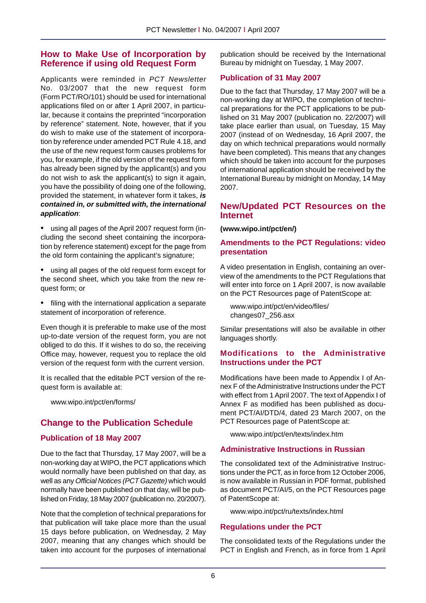# **How to Make Use of Incorporation by Reference if using old Request Form**

Applicants were reminded in *PCT Newsletter* No. 03/2007 that the new request form (Form PCT/RO/101) should be used for international applications filed on or after 1 April 2007, in particular, because it contains the preprinted "incorporation by reference" statement. Note, however, that if you do wish to make use of the statement of incorporation by reference under amended PCT Rule 4.18, and the use of the new request form causes problems for you, for example, if the old version of the request form has already been signed by the applicant(s) and you do not wish to ask the applicant(s) to sign it again, you have the possibility of doing one of the following, provided the statement, in whatever form it takes, *is contained in, or submitted with, the international application*:

• using all pages of the April 2007 request form (including the second sheet containing the incorporation by reference statement) except for the page from the old form containing the applicant's signature;

• using all pages of the old request form except for the second sheet, which you take from the new request form; or

• filing with the international application a separate statement of incorporation of reference.

Even though it is preferable to make use of the most up-to-date version of the request form, you are not obliged to do this. If it wishes to do so, the receiving Office may, however, request you to replace the old version of the request form with the current version.

It is recalled that the editable PCT version of the request form is available at:

www.wipo.int/pct/en/forms/

# **Change to the Publication Schedule**

# **Publication of 18 May 2007**

Due to the fact that Thursday, 17 May 2007, will be a non-working day at WIPO, the PCT applications which would normally have been published on that day, as well as any *Official Notices (PCT Gazette)* which would normally have been published on that day, will be published on Friday, 18 May 2007 (publication no. 20/2007).

Note that the completion of technical preparations for that publication will take place more than the usual 15 days before publication, on Wednesday, 2 May 2007, meaning that any changes which should be taken into account for the purposes of international

publication should be received by the International Bureau by midnight on Tuesday, 1 May 2007.

## **Publication of 31 May 2007**

Due to the fact that Thursday, 17 May 2007 will be a non-working day at WIPO, the completion of technical preparations for the PCT applications to be published on 31 May 2007 (publication no. 22/2007) will take place earlier than usual, on Tuesday, 15 May 2007 (instead of on Wednesday, 16 April 2007, the day on which technical preparations would normally have been completed). This means that any changes which should be taken into account for the purposes of international application should be received by the International Bureau by midnight on Monday, 14 May 2007.

# **New/Updated PCT Resources on the Internet**

**(www.wipo.int/pct/en/)**

### **Amendments to the PCT Regulations: video presentation**

A video presentation in English, containing an overview of the amendments to the PCT Regulations that will enter into force on 1 April 2007, is now available on the PCT Resources page of PatentScope at:

www.wipo.int/pct/en/video/files/ changes07\_256.asx

Similar presentations will also be available in other languages shortly.

## **Modifications to the Administrative Instructions under the PCT**

Modifications have been made to Appendix I of Annex F of the Administrative Instructions under the PCT with effect from 1 April 2007. The text of Appendix I of Annex F as modified has been published as document PCT/AI/DTD/4, dated 23 March 2007, on the PCT Resources page of PatentScope at:

www.wipo.int/pct/en/texts/index.htm

## **Administrative Instructions in Russian**

The consolidated text of the Administrative Instructions under the PCT, as in force from 12 October 2006, is now available in Russian in PDF format, published as document PCT/AI/5, on the PCT Resources page of PatentScope at:

www.wipo.int/pct/ru/texts/index.html

## **Regulations under the PCT**

The consolidated texts of the Regulations under the PCT in English and French, as in force from 1 April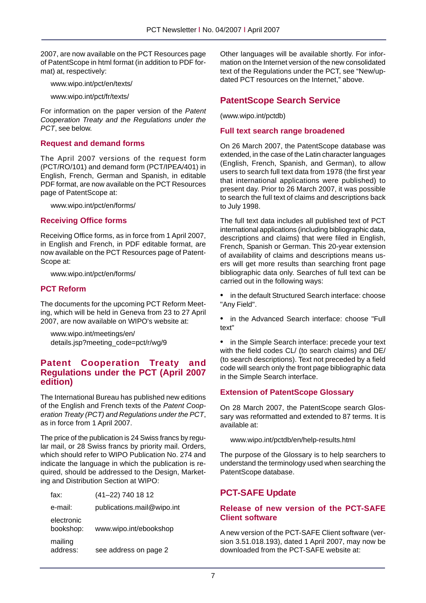2007, are now available on the PCT Resources page of PatentScope in html format (in addition to PDF format) at, respectively:

www.wipo.int/pct/en/texts/

www.wipo.int/pct/fr/texts/

For information on the paper version of the *Patent Cooperation Treaty and the Regulations under the PCT*, see below.

### **Request and demand forms**

The April 2007 versions of the request form (PCT/RO/101) and demand form (PCT/IPEA/401) in English, French, German and Spanish, in editable PDF format, are now available on the PCT Resources page of PatentScope at:

www.wipo.int/pct/en/forms/

#### **Receiving Office forms**

Receiving Office forms, as in force from 1 April 2007, in English and French, in PDF editable format, are now available on the PCT Resources page of Patent-Scope at:

www.wipo.int/pct/en/forms/

#### **PCT Reform**

The documents for the upcoming PCT Reform Meeting, which will be held in Geneva from 23 to 27 April 2007, are now available on WIPO's website at:

www.wipo.int/meetings/en/ details.jsp?meeting\_code=pct/r/wg/9

## **Patent Cooperation Treaty and Regulations under the PCT (April 2007 edition)**

The International Bureau has published new editions of the English and French texts of the *Patent Cooperation Treaty (PCT) and Regulations under the PCT*, as in force from 1 April 2007.

The price of the publication is 24 Swiss francs by regular mail, or 28 Swiss francs by priority mail. Orders, which should refer to WIPO Publication No. 274 and indicate the language in which the publication is required, should be addressed to the Design, Marketing and Distribution Section at WIPO:

| fax:                    | (41-22) 740 18 12          |
|-------------------------|----------------------------|
| e-mail:                 | publications.mail@wipo.int |
| electronic<br>bookshop: | www.wipo.int/ebookshop     |
| mailing<br>address:     | see address on page 2      |

Other languages will be available shortly. For information on the Internet version of the new consolidated text of the Regulations under the PCT, see "New/updated PCT resources on the Internet," above.

# **PatentScope Search Service**

(www.wipo.int/pctdb)

#### **Full text search range broadened**

On 26 March 2007, the PatentScope database was extended, in the case of the Latin character languages (English, French, Spanish, and German), to allow users to search full text data from 1978 (the first year that international applications were published) to present day. Prior to 26 March 2007, it was possible to search the full text of claims and descriptions back to July 1998.

The full text data includes all published text of PCT international applications (including bibliographic data, descriptions and claims) that were filed in English, French, Spanish or German. This 20-year extension of availability of claims and descriptions means users will get more results than searching front page bibliographic data only. Searches of full text can be carried out in the following ways:

• in the default Structured Search interface: choose "Any Field".

• in the Advanced Search interface: choose "Full text"

• in the Simple Search interface: precede your text with the field codes CL/ (to search claims) and DE/ (to search descriptions). Text not preceded by a field code will search only the front page bibliographic data in the Simple Search interface.

#### **Extension of PatentScope Glossary**

On 28 March 2007, the PatentScope search Glossary was reformatted and extended to 87 terms. It is available at:

www.wipo.int/pctdb/en/help-results.html

The purpose of the Glossary is to help searchers to understand the terminology used when searching the PatentScope database.

# **PCT-SAFE Update**

## **Release of new version of the PCT-SAFE Client software**

A new version of the PCT-SAFE Client software (version 3.51.018.193), dated 1 April 2007, may now be downloaded from the PCT-SAFE website at: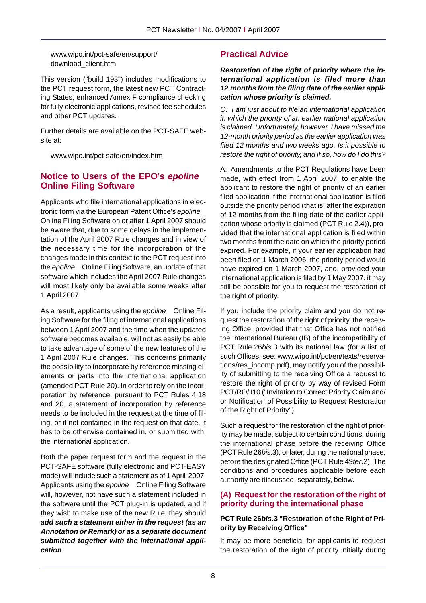www.wipo.int/pct-safe/en/support/ download\_client.htm

This version ("build 193") includes modifications to the PCT request form, the latest new PCT Contracting States, enhanced Annex F compliance checking for fully electronic applications, revised fee schedules and other PCT updates.

Further details are available on the PCT-SAFE website at:

www.wipo.int/pct-safe/en/index.htm

# **Notice to Users of the EPO's** *epoline* **Online Filing Software**

Applicants who file international applications in electronic form via the European Patent Office's *epoline* Online Filing Software on or after 1 April 2007 should be aware that, due to some delays in the implementation of the April 2007 Rule changes and in view of the necessary time for the incorporation of the changes made in this context to the PCT request into the *epoline* Online Filing Software, an update of that software which includes the April 2007 Rule changes will most likely only be available some weeks after 1 April 2007.

As a result, applicants using the *epoline* ® Online Filing Software for the filing of international applications between 1 April 2007 and the time when the updated software becomes available, will not as easily be able to take advantage of some of the new features of the 1 April 2007 Rule changes. This concerns primarily the possibility to incorporate by reference missing elements or parts into the international application (amended PCT Rule 20). In order to rely on the incorporation by reference, pursuant to PCT Rules 4.18 and 20, a statement of incorporation by reference needs to be included in the request at the time of filing, or if not contained in the request on that date, it has to be otherwise contained in, or submitted with, the international application.

Both the paper request form and the request in the PCT-SAFE software (fully electronic and PCT-EASY mode) will include such a statement as of 1 April 2007. Applicants using the *epoline* Online Filing Software will, however, not have such a statement included in the software until the PCT plug-in is updated, and if they wish to make use of the new Rule, they should *add such a statement either in the request (as an Annotation or Remark) or as a separate document submitted together with the international application*.

# **Practical Advice**

#### *Restoration of the right of priority where the international application is filed more than 12 months from the filing date of the earlier application whose priority is claimed.*

*Q: I am just about to file an international application in which the priority of an earlier national application is claimed. Unfortunately, however, I have missed the 12-month priority period as the earlier application was filed 12 months and two weeks ago. Is it possible to restore the right of priority, and if so, how do I do this?*

A: Amendments to the PCT Regulations have been made, with effect from 1 April 2007, to enable the applicant to restore the right of priority of an earlier filed application if the international application is filed outside the priority period (that is, after the expiration of 12 months from the filing date of the earlier application whose priority is claimed (PCT Rule 2.4)), provided that the international application is filed within two months from the date on which the priority period expired. For example, if your earlier application had been filed on 1 March 2006, the priority period would have expired on 1 March 2007, and, provided your international application is filed by 1 May 2007, it may still be possible for you to request the restoration of the right of priority.

If you include the priority claim and you do not request the restoration of the right of priority, the receiving Office, provided that that Office has not notified the International Bureau (IB) of the incompatibility of PCT Rule 26*bis*.3 with its national law (for a list of such Offices, see: www.wipo.int/pct/en/texts/reservations/res\_incomp.pdf), may notify you of the possibility of submitting to the receiving Office a request to restore the right of priority by way of revised Form PCT/RO/110 ("Invitation to Correct Priority Claim and/ or Notification of Possibility to Request Restoration of the Right of Priority").

Such a request for the restoration of the right of priority may be made, subject to certain conditions, during the international phase before the receiving Office (PCT Rule 26*bis*.3), or later, during the national phase, before the designated Office (PCT Rule 49*ter*.2). The conditions and procedures applicable before each authority are discussed, separately, below.

# **(A) Request for the restoration of the right of priority during the international phase**

## **PCT Rule 26***bis***.3 "Restoration of the Right of Priority by Receiving Office"**

It may be more beneficial for applicants to request the restoration of the right of priority initially during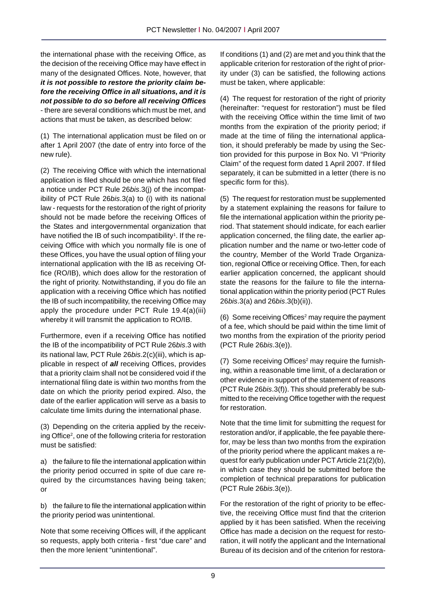the international phase with the receiving Office, as the decision of the receiving Office may have effect in many of the designated Offices. Note, however, that *it is not possible to restore the priority claim before the receiving Office in all situations, and it is not possible to do so before all receiving Offices* - there are several conditions which must be met, and actions that must be taken, as described below:

(1) The international application must be filed on or after 1 April 2007 (the date of entry into force of the new rule).

(2) The receiving Office with which the international application is filed should be one which has not filed a notice under PCT Rule 26*bis*.3(j) of the incompatibility of PCT Rule 26*bis*.3(a) to (i) with its national law - requests for the restoration of the right of priority should not be made before the receiving Offices of the States and intergovernmental organization that have notified the IB of such incompatibility<sup>1</sup>. If the receiving Office with which you normally file is one of these Offices, you have the usual option of filing your international application with the IB as receiving Office (RO/IB), which does allow for the restoration of the right of priority. Notwithstanding, if you do file an application with a receiving Office which has notified the IB of such incompatibility, the receiving Office may apply the procedure under PCT Rule 19.4(a)(iii) whereby it will transmit the application to RO/IB.

Furthermore, even if a receiving Office has notified the IB of the incompatibility of PCT Rule 26*bis*.3 with its national law, PCT Rule 26*bis*.2(c)(iii), which is applicable in respect of *all* receiving Offices, provides that a priority claim shall not be considered void if the international filing date is within two months from the date on which the priority period expired. Also, the date of the earlier application will serve as a basis to calculate time limits during the international phase.

(3) Depending on the criteria applied by the receiving Office<sup>2</sup>, one of the following criteria for restoration must be satisfied:

a) the failure to file the international application within the priority period occurred in spite of due care required by the circumstances having being taken; or

b) the failure to file the international application within the priority period was unintentional.

Note that some receiving Offices will, if the applicant so requests, apply both criteria - first "due care" and then the more lenient "unintentional".

If conditions (1) and (2) are met and you think that the applicable criterion for restoration of the right of priority under (3) can be satisfied, the following actions must be taken, where applicable:

(4) The request for restoration of the right of priority (hereinafter: "request for restoration") must be filed with the receiving Office within the time limit of two months from the expiration of the priority period; if made at the time of filing the international application, it should preferably be made by using the Section provided for this purpose in Box No. VI "Priority Claim" of the request form dated 1 April 2007. If filed separately, it can be submitted in a letter (there is no specific form for this).

(5) The request for restoration must be supplemented by a statement explaining the reasons for failure to file the international application within the priority period. That statement should indicate, for each earlier application concerned, the filing date, the earlier application number and the name or two-letter code of the country, Member of the World Trade Organization, regional Office or receiving Office. Then, for each earlier application concerned, the applicant should state the reasons for the failure to file the international application within the priority period (PCT Rules 26*bis*.3(a) and 26*bis*.3(b)(ii)).

(6) Some receiving Offices<sup>2</sup> may require the payment of a fee, which should be paid within the time limit of two months from the expiration of the priority period (PCT Rule 26*bis*.3(e)).

 $(7)$  Some receiving Offices<sup>2</sup> may require the furnishing, within a reasonable time limit, of a declaration or other evidence in support of the statement of reasons (PCT Rule 26*bis*.3(f)). This should preferably be submitted to the receiving Office together with the request for restoration.

Note that the time limit for submitting the request for restoration and/or, if applicable, the fee payable therefor, may be less than two months from the expiration of the priority period where the applicant makes a request for early publication under PCT Article 21(2)(b), in which case they should be submitted before the completion of technical preparations for publication (PCT Rule 26*bis*.3(e)).

For the restoration of the right of priority to be effective, the receiving Office must find that the criterion applied by it has been satisfied. When the receiving Office has made a decision on the request for restoration, it will notify the applicant and the International Bureau of its decision and of the criterion for restora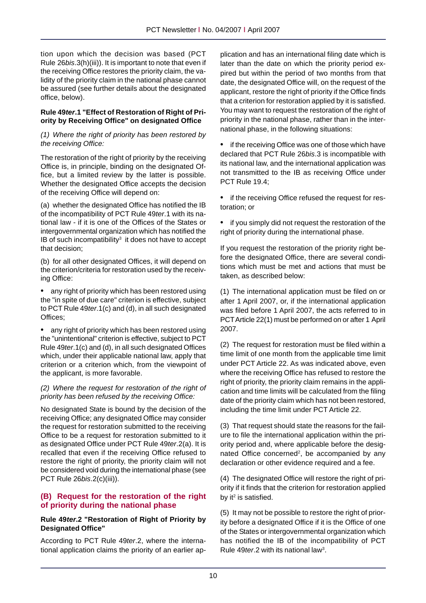tion upon which the decision was based (PCT Rule 26*bis*.3(h)(iii)). It is important to note that even if the receiving Office restores the priority claim, the validity of the priority claim in the national phase cannot be assured (see further details about the designated office, below).

#### **Rule 49***ter***.1 "Effect of Restoration of Right of Priority by Receiving Office" on designated Office**

#### *(1) Where the right of priority has been restored by the receiving Office:*

The restoration of the right of priority by the receiving Office is, in principle, binding on the designated Office, but a limited review by the latter is possible. Whether the designated Office accepts the decision of the receiving Office will depend on:

(a) whether the designated Office has notified the IB of the incompatibility of PCT Rule 49*ter*.1 with its national law - if it is one of the Offices of the States or intergovernmental organization which has notified the IB of such incompatibility<sup>3</sup> it does not have to accept that decision;

(b) for all other designated Offices, it will depend on the criterion/criteria for restoration used by the receiving Office:

• any right of priority which has been restored using the "in spite of due care" criterion is effective, subject to PCT Rule 49*ter*.1(c) and (d), in all such designated Offices;

any right of priority which has been restored using the "unintentional" criterion is effective, subject to PCT Rule 49*ter*.1(c) and (d), in all such designated Offices which, under their applicable national law, apply that criterion or a criterion which, from the viewpoint of the applicant, is more favorable.

#### *(2) Where the request for restoration of the right of priority has been refused by the receiving Office:*

No designated State is bound by the decision of the receiving Office; any designated Office may consider the request for restoration submitted to the receiving Office to be a request for restoration submitted to it as designated Office under PCT Rule 49*ter*.2(a). It is recalled that even if the receiving Office refused to restore the right of priority, the priority claim will not be considered void during the international phase (see PCT Rule 26*bis*.2(c)(iii)).

## **(B) Request for the restoration of the right of priority during the national phase**

#### **Rule 49***ter***.2 "Restoration of Right of Priority by Designated Office"**

According to PCT Rule 49*ter*.2, where the international application claims the priority of an earlier application and has an international filing date which is later than the date on which the priority period expired but within the period of two months from that date, the designated Office will, on the request of the applicant, restore the right of priority if the Office finds that a criterion for restoration applied by it is satisfied. You may want to request the restoration of the right of priority in the national phase, rather than in the international phase, in the following situations:

• if the receiving Office was one of those which have declared that PCT Rule 26*bis*.3 is incompatible with its national law, and the international application was not transmitted to the IB as receiving Office under PCT Rule 19.4;

• if the receiving Office refused the request for restoration; or

• if you simply did not request the restoration of the right of priority during the international phase.

If you request the restoration of the priority right before the designated Office, there are several conditions which must be met and actions that must be taken, as described below:

(1) The international application must be filed on or after 1 April 2007, or, if the international application was filed before 1 April 2007, the acts referred to in PCT Article 22(1) must be performed on or after 1 April 2007.

(2) The request for restoration must be filed within a time limit of one month from the applicable time limit under PCT Article 22. As was indicated above, even where the receiving Office has refused to restore the right of priority, the priority claim remains in the application and time limits will be calculated from the filing date of the priority claim which has not been restored, including the time limit under PCT Article 22.

(3) That request should state the reasons for the failure to file the international application within the priority period and, where applicable before the designated Office concerned<sup>2</sup>, be accompanied by any declaration or other evidence required and a fee.

(4) The designated Office will restore the right of priority if it finds that the criterion for restoration applied by it $2$  is satisfied.

(5) It may not be possible to restore the right of priority before a designated Office if it is the Office of one of the States or intergovernmental organization which has notified the IB of the incompatibility of PCT Rule 49 ter.2 with its national law<sup>3</sup>.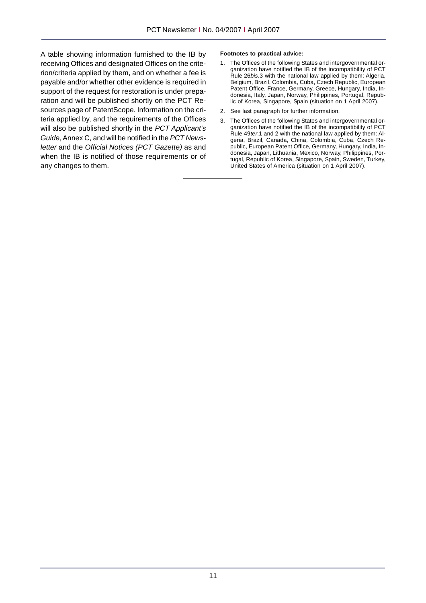A table showing information furnished to the IB by receiving Offices and designated Offices on the criterion/criteria applied by them, and on whether a fee is payable and/or whether other evidence is required in support of the request for restoration is under preparation and will be published shortly on the PCT Resources page of PatentScope. Information on the criteria applied by, and the requirements of the Offices will also be published shortly in the *PCT Applicant's Guide*, Annex C, and will be notified in the *PCT Newsletter* and the *Official Notices (PCT Gazette)* as and when the IB is notified of those requirements or of any changes to them.

#### **Footnotes to practical advice:**

- 1. The Offices of the following States and intergovernmental organization have notified the IB of the incompatibility of PCT Rule 26*bis.*3 with the national law applied by them: Algeria, Belgium, Brazil, Colombia, Cuba, Czech Republic, European Patent Office, France, Germany, Greece, Hungary, India, Indonesia, Italy, Japan, Norway, Philippines, Portugal, Republic of Korea, Singapore, Spain (situation on 1 April 2007).
- 2. See last paragraph for further information.
- 3. The Offices of the following States and intergovernmental organization have notified the IB of the incompatibility of PCT Rule 49*ter*.1 and 2 with the national law applied by them: Algeria, Brazil, Canada, China, Colombia, Cuba, Czech Republic, European Patent Office, Germany, Hungary, India, Indonesia, Japan, Lithuania, Mexico, Norway, Philippines, Portugal, Republic of Korea, Singapore, Spain, Sweden, Turkey, United States of America (situation on 1 April 2007).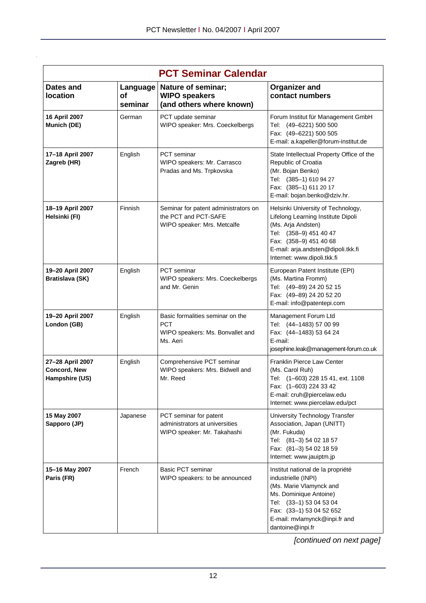| <b>PCT Seminar Calendar</b>                        |                                  |                                                                                                |                                                                                                                                                                                                                           |
|----------------------------------------------------|----------------------------------|------------------------------------------------------------------------------------------------|---------------------------------------------------------------------------------------------------------------------------------------------------------------------------------------------------------------------------|
| Dates and<br>location                              | Language<br><b>of</b><br>seminar | <b>Nature of seminar;</b><br><b>WIPO speakers</b><br>(and others where known)                  | <b>Organizer and</b><br>contact numbers                                                                                                                                                                                   |
| 16 April 2007<br>Munich (DE)                       | German                           | PCT update seminar<br>WIPO speaker: Mrs. Coeckelbergs                                          | Forum Institut für Management GmbH<br>Tel: (49-6221) 500 500<br>Fax: (49-6221) 500 505<br>E-mail: a.kapeller@forum-institut.de                                                                                            |
| 17-18 April 2007<br>Zagreb (HR)                    | English                          | <b>PCT</b> seminar<br>WIPO speakers: Mr. Carrasco<br>Pradas and Ms. Trpkovska                  | State Intellectual Property Office of the<br>Republic of Croatia<br>(Mr. Bojan Benko)<br>Tel: (385-1) 610 94 27<br>Fax: (385-1) 611 20 17<br>E-mail: bojan.benko@dziv.hr.                                                 |
| 18-19 April 2007<br>Helsinki (FI)                  | Finnish                          | Seminar for patent administrators on<br>the PCT and PCT-SAFE<br>WIPO speaker: Mrs. Metcalfe    | Helsinki University of Technology,<br>Lifelong Learning Institute Dipoli<br>(Ms. Arja Andsten)<br>Tel: (358-9) 451 40 47<br>Fax: (358-9) 451 40 68<br>E-mail: arja.andsten@dipoli.tkk.fi<br>Internet: www.dipoli.tkk.fi   |
| 19-20 April 2007<br>Bratislava (SK)                | English                          | PCT seminar<br>WIPO speakers: Mrs. Coeckelbergs<br>and Mr. Genin                               | European Patent Institute (EPI)<br>(Ms. Martina Fromm)<br>Tel: (49-89) 24 20 52 15<br>Fax: (49-89) 24 20 52 20<br>E-mail: info@patentepi.com                                                                              |
| 19-20 April 2007<br>London (GB)                    | English                          | Basic formalities seminar on the<br><b>PCT</b><br>WIPO speakers: Ms. Bonvallet and<br>Ms. Aeri | Management Forum Ltd<br>Tel: (44-1483) 57 00 99<br>Fax: (44-1483) 53 64 24<br>E-mail:<br>josephine.leak@management-forum.co.uk                                                                                            |
| 27-28 April 2007<br>Concord, New<br>Hampshire (US) | English                          | Comprehensive PCT seminar<br>WIPO speakers: Mrs. Bidwell and<br>Mr. Reed                       | Franklin Pierce Law Center<br>(Ms. Carol Ruh)<br>Tel: (1-603) 228 15 41, ext. 1108<br>Fax: (1-603) 224 33 42<br>E-mail: cruh@piercelaw.edu<br>Internet: www.piercelaw.edu/pct                                             |
| 15 May 2007<br>Sapporo (JP)                        | Japanese                         | PCT seminar for patent<br>administrators at universities<br>WIPO speaker: Mr. Takahashi        | University Technology Transfer<br>Association, Japan (UNITT)<br>(Mr. Fukuda)<br>Tel: (81-3) 54 02 18 57<br>Fax: (81-3) 54 02 18 59<br>Internet: www.jauiptm.jp                                                            |
| 15-16 May 2007<br>Paris (FR)                       | French                           | Basic PCT seminar<br>WIPO speakers: to be announced                                            | Institut national de la propriété<br>industrielle (INPI)<br>(Ms. Marie Vlamynck and<br>Ms. Dominique Antoine)<br>Tel: (33-1) 53 04 53 04<br>Fax: (33-1) 53 04 52 652<br>E-mail: mvlamynck@inpi.fr and<br>dantoine@inpi.fr |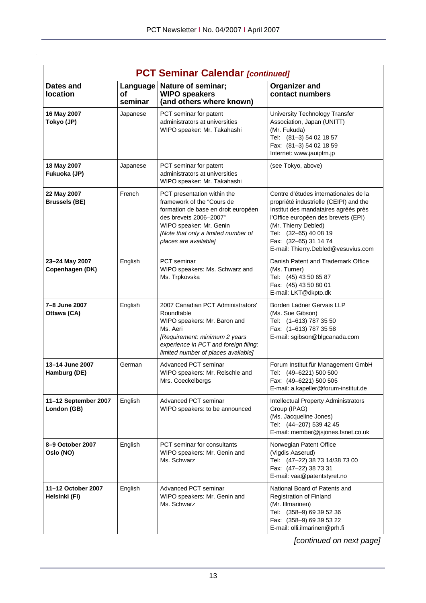| <b>PCT Seminar Calendar [continued]</b> |                           |                                                                                                                                                                                                                       |                                                                                                                                                                                                                                                                                 |
|-----------------------------------------|---------------------------|-----------------------------------------------------------------------------------------------------------------------------------------------------------------------------------------------------------------------|---------------------------------------------------------------------------------------------------------------------------------------------------------------------------------------------------------------------------------------------------------------------------------|
| <b>Dates and</b><br>location            | Language<br>οf<br>seminar | Nature of seminar;<br><b>WIPO speakers</b><br>(and others where known)                                                                                                                                                | <b>Organizer and</b><br>contact numbers                                                                                                                                                                                                                                         |
| 16 May 2007<br>Tokyo (JP)               | Japanese                  | PCT seminar for patent<br>administrators at universities<br>WIPO speaker: Mr. Takahashi                                                                                                                               | University Technology Transfer<br>Association, Japan (UNITT)<br>(Mr. Fukuda)<br>Tel: (81-3) 54 02 18 57<br>Fax: (81-3) 54 02 18 59<br>Internet: www.jauiptm.jp                                                                                                                  |
| 18 May 2007<br>Fukuoka (JP)             | Japanese                  | PCT seminar for patent<br>administrators at universities<br>WIPO speaker: Mr. Takahashi                                                                                                                               | (see Tokyo, above)                                                                                                                                                                                                                                                              |
| 22 May 2007<br><b>Brussels (BE)</b>     | French                    | PCT presentation within the<br>framework of the "Cours de<br>formation de base en droit européen<br>des brevets 2006-2007"<br>WIPO speaker: Mr. Genin<br>[Note that only a limited number of<br>places are available] | Centre d'études internationales de la<br>propriété industrielle (CEIPI) and the<br>Institut des mandataires agréés près<br>l'Office européen des brevets (EPI)<br>(Mr. Thierry Debled)<br>Tel: (32-65) 40 08 19<br>Fax: (32-65) 31 14 74<br>E-mail: Thierry.Debled@vesuvius.com |
| 23-24 May 2007<br>Copenhagen (DK)       | English                   | <b>PCT</b> seminar<br>WIPO speakers: Ms. Schwarz and<br>Ms. Trpkovska                                                                                                                                                 | Danish Patent and Trademark Office<br>(Ms. Turner)<br>Tel: (45) 43 50 65 87<br>Fax: (45) 43 50 80 01<br>E-mail: LKT@dkpto.dk                                                                                                                                                    |
| 7-8 June 2007<br>Ottawa (CA)            | English                   | 2007 Canadian PCT Administrators'<br>Roundtable<br>WIPO speakers: Mr. Baron and<br>Ms. Aeri<br>[Requirement: minimum 2 years<br>experience in PCT and foreign filing;<br>limited number of places available]          | Borden Ladner Gervais LLP<br>(Ms. Sue Gibson)<br>Tel: (1-613) 787 35 50<br>Fax: (1-613) 787 35 58<br>E-mail: sgibson@blgcanada.com                                                                                                                                              |
| 13-14 June 2007<br>Hamburg (DE)         | German                    | Advanced PCT seminar<br>WIPO speakers: Mr. Reischle and<br>Mrs. Coeckelbergs                                                                                                                                          | Forum Institut für Management GmbH<br>Tel: (49-6221) 500 500<br>Fax: (49-6221) 500 505<br>E-mail: a.kapeller@forum-institut.de                                                                                                                                                  |
| 11-12 September 2007<br>London (GB)     | English                   | Advanced PCT seminar<br>WIPO speakers: to be announced                                                                                                                                                                | Intellectual Property Administrators<br>Group (IPAG)<br>(Ms. Jacqueline Jones)<br>Tel: (44-207) 539 42 45<br>E-mail: member@jsjones.fsnet.co.uk                                                                                                                                 |
| 8-9 October 2007<br>Oslo (NO)           | English                   | PCT seminar for consultants<br>WIPO speakers: Mr. Genin and<br>Ms. Schwarz                                                                                                                                            | Norwegian Patent Office<br>(Vigdis Aaserud)<br>Tel: (47-22) 38 73 14/38 73 00<br>Fax: (47-22) 38 73 31<br>E-mail: vaa@patentstyret.no                                                                                                                                           |
| 11-12 October 2007<br>Helsinki (FI)     | English                   | Advanced PCT seminar<br>WIPO speakers: Mr. Genin and<br>Ms. Schwarz                                                                                                                                                   | National Board of Patents and<br>Registration of Finland<br>(Mr. Illmarinen)<br>Tel: (358-9) 69 39 52 36<br>Fax: (358-9) 69 39 53 22<br>E-mail: olli.ilmarinen@prh.fi                                                                                                           |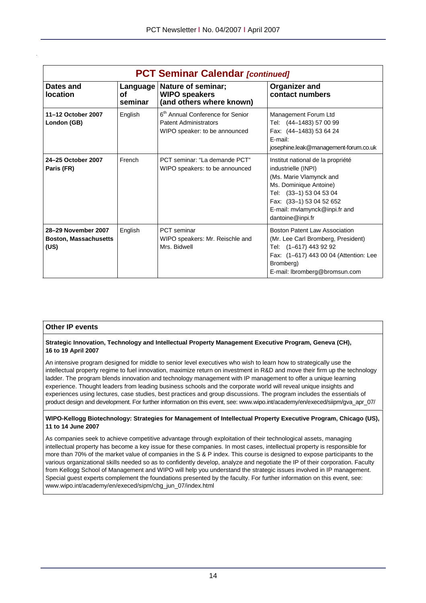|                                                             |                           | <b>PCT Seminar Calendar [continued]</b>                                                                       |                                                                                                                                                                                                                           |
|-------------------------------------------------------------|---------------------------|---------------------------------------------------------------------------------------------------------------|---------------------------------------------------------------------------------------------------------------------------------------------------------------------------------------------------------------------------|
| Dates and<br><b>location</b>                                | Language<br>οf<br>seminar | Nature of seminar;<br><b>WIPO speakers</b><br>(and others where known)                                        | Organizer and<br>contact numbers                                                                                                                                                                                          |
| 11-12 October 2007<br>London (GB)                           | English                   | 6 <sup>th</sup> Annual Conference for Senior<br><b>Patent Administrators</b><br>WIPO speaker: to be announced | Management Forum Ltd<br>Tel: (44-1483) 57 00 99<br>Fax: (44-1483) 53 64 24<br>E-mail:<br>josephine.leak@management-forum.co.uk                                                                                            |
| 24-25 October 2007<br>Paris (FR)                            | French                    | PCT seminar: "La demande PCT"<br>WIPO speakers: to be announced                                               | Institut national de la propriété<br>industrielle (INPI)<br>(Ms. Marie Vlamynck and<br>Ms. Dominique Antoine)<br>Tel: (33-1) 53 04 53 04<br>Fax: (33-1) 53 04 52 652<br>E-mail: mvlamynck@inpi.fr and<br>dantoine@inpi.fr |
| 28-29 November 2007<br><b>Boston, Massachusetts</b><br>(US) | English                   | <b>PCT</b> seminar<br>WIPO speakers: Mr. Reischle and<br>Mrs. Bidwell                                         | <b>Boston Patent Law Association</b><br>(Mr. Lee Carl Bromberg, President)<br>Tel: (1-617) 443 92 92<br>Fax: (1-617) 443 00 04 (Attention: Lee<br>Bromberg)<br>E-mail: lbromberg@bromsun.com                              |

#### **Other IP events**

#### **Strategic Innovation, Technology and Intellectual Property Management Executive Program, Geneva (CH), 16 to 19 April 2007**

An intensive program designed for middle to senior level executives who wish to learn how to strategically use the intellectual property regime to fuel innovation, maximize return on investment in R&D and move their firm up the technology ladder. The program blends innovation and technology management with IP management to offer a unique learning experience. Thought leaders from leading business schools and the corporate world will reveal unique insights and experiences using lectures, case studies, best practices and group discussions. The program includes the essentials of product design and development. For further information on this event, see: www.wipo.int/academy/en/execed/siipm/gva\_apr\_07/

#### **WIPO-Kellogg Biotechnology: Strategies for Management of Intellectual Property Executive Program, Chicago (US), 11 to 14 June 2007**

As companies seek to achieve competitive advantage through exploitation of their technological assets, managing intellectual property has become a key issue for these companies. In most cases, intellectual property is responsible for more than 70% of the market value of companies in the S & P index. This course is designed to expose participants to the various organizational skills needed so as to confidently develop, analyze and negotiate the IP of their corporation. Faculty from Kellogg School of Management and WIPO will help you understand the strategic issues involved in IP management. Special guest experts complement the foundations presented by the faculty. For further information on this event, see: www.wipo.int/academy/en/execed/sipm/chg\_jun\_07/index.html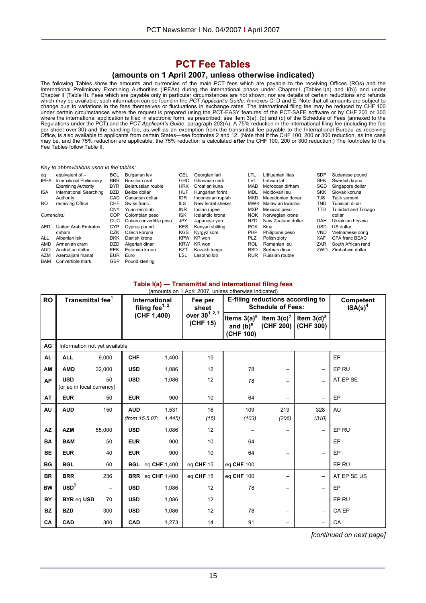# **PCT Fee Tables**

#### **(amounts on 1 April 2007, unless otherwise indicated)**

The following Tables show the amounts and currencies of the main PCT fees which are payable to the receiving Offices (ROs) and the International Preliminary Examining Authorities (IPEAs) during the international phase under Chapter I (Tables I(a) and I(b)) and under Chapter II (Table II). Fees which are payable only in particular circumstances are not shown; nor are details of certain reductions and refunds which may be available; such information can be found in the *PCT Applicant's Guide,* Annexes C, D and E. Note that all amounts are subject to change due to variations in the fees themselves or fluctuations in exchange rates. The international filing fee may be reduced by CHF 100 under certain circumstances where the request is prepared using the PCT-EASY features of the PCT-SAFE software or by CHF 200 or 300 where the international application is filed in electronic form, as prescribed; see Item 3(a), (b) and (c) of the Schedule of Fees (annexed to the Regulations under the PCT) and the *PCT Applicant's Guide*, paragraph 202(A). A 75% reduction in the international filing fee (including the fee per sheet over 30) and the handling fee, as well as an exemption from the transmittal fee payable to the International Bureau as receiving Office, is also available to applicants from certain States—see footnotes 2 and 12. (Note that if the CHF 100, 200 or 300 reduction, as the case may be, and the 75% reduction are applicable, the 75% reduction is calculated *after* the CHF 100, 200 or 300 reduction.) The footnotes to the Fee Tables follow Table II.

#### *Key to abbreviations used in fee tables:*

| eq          | equivalent of $-$           | <b>BGL</b> | <b>Bulgarian lev</b>   | GEL        | Georgian lari     | LTL        | Lithuanian litas   | <b>SDP</b> | Sudanese pound             |
|-------------|-----------------------------|------------|------------------------|------------|-------------------|------------|--------------------|------------|----------------------------|
| <b>IPEA</b> | International Preliminary   | <b>BRR</b> | Brazilian real         | <b>GHC</b> | Ghanaian cedi     | <b>LVL</b> | Latvian lat        | <b>SEK</b> | Swedish krona              |
|             | <b>Examining Authority</b>  | <b>BYR</b> | Belarussian rouble     | <b>HRK</b> | Croatian kuna     | <b>MAD</b> | Moroccan dirham    | SGD        | Singapore dollar           |
| <b>ISA</b>  | International Searching     | <b>BZD</b> | Belize dollar          | <b>HUF</b> | Hungarian forint  | MDL        | Moldovan leu       | <b>SKK</b> | Slovak koruna              |
|             | Authority                   | CAD        | Canadian dollar        | <b>IDR</b> | Indonesian rupiah | MKD        | Macedonian denar   | TJS        | Tajik somoni               |
| RO.         | receiving Office            | <b>CHF</b> | Swiss franc            | <b>ILS</b> | New Israel shekel | <b>MWK</b> | Malawian kwacha    | TND        | Tunisian dinar             |
|             |                             | CNY        | Yuan renminbi          | <b>INR</b> | Indian rupee      | <b>MXP</b> | Mexican peso       | TTD        | <b>Trinidad and Tobago</b> |
| Currencies: |                             | <b>COP</b> | Colombian peso         | <b>ISK</b> | Icelandic krona   | <b>NOK</b> | Norwegian krone    |            | dollar                     |
|             |                             | <b>CUC</b> | Cuban convertible peso | <b>JPY</b> | Japanese yen      | <b>NZD</b> | New Zealand dollar | <b>UAH</b> | Ukrainian hryvnia          |
| <b>AED</b>  | <b>United Arab Emirates</b> | <b>CYP</b> | Cyprus pound           | <b>KES</b> | Kenvan shilling   | <b>PGK</b> | Kina               | USD        | US dollar                  |
|             | dirham                      | CZK        | Czech koruna           | <b>KGS</b> | Kyrgyz som        | PHP        | Philippine peso    | VND        | Vietnamese dong            |
| <b>ALL</b>  | Albanian lek                | <b>DKK</b> | Danish krone           | <b>KPW</b> | KP won            | <b>PLZ</b> | Polish zlotv       | <b>XAF</b> | CFA franc BEAC             |
| <b>AMD</b>  | Armenian dram               | <b>DZD</b> | Algerian dinar         | <b>KRW</b> | KR won            | <b>ROL</b> | Romanian leu       | ZAR        | South African rand         |
| <b>AUD</b>  | Australian dollar           | <b>EEK</b> | Estonian kroon         | <b>KZT</b> | Kazakh tenge      | <b>RSD</b> | Serbian dinar      | ZWD        | Zimbabwe dollar            |
| <b>AZM</b>  | Azerbaijani manat           | <b>EUR</b> | Euro                   | LSL        | Lesotho loti      | <b>RUR</b> | Russian rouble     |            |                            |
| <b>BAM</b>  | Convertible mark            | GBP        | Pound sterling         |            |                   |            |                    |            |                            |

#### **Table I(a) — Transmittal and international filing fees**

| <b>RO</b> | Transmittal fee <sup>1</sup>            |                          |                | International<br>filing fee <sup>1, 2</sup> | Fee per<br>sheet                       |                                            | E-filing reductions according to<br><b>Schedule of Fees:</b> |                                      | <b>Competent</b><br>$ISA(s)^4$ |
|-----------|-----------------------------------------|--------------------------|----------------|---------------------------------------------|----------------------------------------|--------------------------------------------|--------------------------------------------------------------|--------------------------------------|--------------------------------|
|           |                                         |                          |                | (CHF 1,400)                                 | over 30 <sup>1, 2, 3</sup><br>(CHF 15) | Items $3(a)^5$<br>and $(b)^6$<br>(CHF 100) | Item $3(c)^7$                                                | Item $3(d)^8$<br>(CHF 200) (CHF 300) |                                |
| AG        | Information not yet available           |                          |                |                                             |                                        |                                            |                                                              |                                      |                                |
| <b>AL</b> | <b>ALL</b>                              | 9,000                    | <b>CHF</b>     | 1,400                                       | 15                                     | $\overline{\phantom{0}}$                   |                                                              | $\overline{\phantom{0}}$             | EP                             |
| AM        | <b>AMD</b>                              | 32,000                   | <b>USD</b>     | 1,086                                       | 12                                     | 78                                         | $\overline{\phantom{0}}$                                     | $\overline{\phantom{0}}$             | EP RU                          |
| <b>AP</b> | <b>USD</b><br>(or eq in local currency) | 50                       | <b>USD</b>     | 1,086                                       | 12                                     | 78                                         |                                                              |                                      | AT EP SE                       |
| AT        | <b>EUR</b>                              | 50                       | <b>EUR</b>     | 900                                         | 10                                     | 64                                         |                                                              |                                      | EP                             |
| AU        | <b>AUD</b>                              | 150                      | <b>AUD</b>     | 1,531                                       | 16                                     | 109                                        | 219                                                          | 328                                  | AU                             |
|           |                                         |                          | (from 15.5.07: | 1,445                                       | (15)                                   | (103)                                      | (206)                                                        | (310)                                |                                |
| AZ        | <b>AZM</b>                              | 55,000                   | <b>USD</b>     | 1,086                                       | 12                                     | -                                          |                                                              | $\qquad \qquad -$                    | EP RU                          |
| BA        | <b>BAM</b>                              | 50                       | <b>EUR</b>     | 900                                         | 10                                     | 64                                         | —                                                            | $\qquad \qquad -$                    | EP                             |
| <b>BE</b> | <b>EUR</b>                              | 40                       | <b>EUR</b>     | 900                                         | 10                                     | 64                                         | $\overline{\phantom{0}}$                                     | $\qquad \qquad -$                    | EP                             |
| <b>BG</b> | <b>BGL</b>                              | 60                       |                | <b>BGL</b> eq CHF 1,400                     | eq CHF 15                              | eq CHF 100                                 |                                                              | $\overline{\phantom{0}}$             | EP RU                          |
| <b>BR</b> | <b>BRR</b>                              | 236                      |                | <b>BRR</b> eq CHF 1,400                     | eq CHF 15                              | eg CHF 100                                 | $\overline{\phantom{0}}$                                     | $\overline{\phantom{m}}$             | AT EP SE US                    |
| <b>BW</b> | $\text{USD}^9$                          | $\overline{\phantom{m}}$ | <b>USD</b>     | 1,086                                       | 12                                     | 78                                         |                                                              | $\overline{\phantom{0}}$             | EP                             |
| <b>BY</b> | <b>BYR eq USD</b>                       | 70                       | <b>USD</b>     | 1,086                                       | 12                                     | -                                          |                                                              | $\qquad \qquad -$                    | EP RU                          |
| <b>BZ</b> | <b>BZD</b>                              | 300                      | <b>USD</b>     | 1,086                                       | 12                                     | 78                                         | -                                                            | $\overline{\phantom{m}}$             | CA EP                          |
| CA        | CAD                                     | 300                      | CAD            | 1,273                                       | 14                                     | 91                                         |                                                              |                                      | CA                             |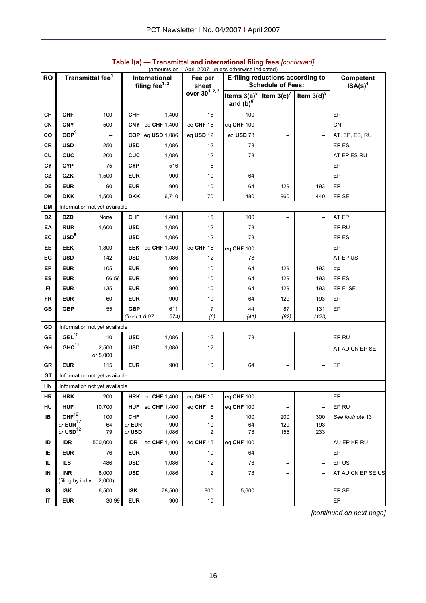| <b>RO</b> | Transmittal fee <sup>1</sup>                                |                               | International<br>filing fee <sup>1, 2</sup> |                  | Fee per<br>sheet           |                               | E-filing reductions according to<br><b>Schedule of Fees:</b> |                          | Competent<br>ISA(s) <sup>4</sup> |
|-----------|-------------------------------------------------------------|-------------------------------|---------------------------------------------|------------------|----------------------------|-------------------------------|--------------------------------------------------------------|--------------------------|----------------------------------|
|           |                                                             |                               |                                             |                  | over 30 <sup>1, 2, 3</sup> | Items $3(a)^5$<br>and $(b)^6$ | Item $3(c)^7$                                                | Item $3(d)^8$            |                                  |
| CН        | <b>CHF</b>                                                  | 100                           | <b>CHF</b>                                  | 1,400            | 15                         | 100                           | $\overline{\phantom{0}}$                                     | -                        | EP                               |
| CN        | <b>CNY</b>                                                  | 500                           | CNY                                         | eq CHF 1,400     | eq CHF 15                  | eq CHF 100                    |                                                              | —                        | <b>CN</b>                        |
| CO        | COP <sup>9</sup>                                            | $\qquad \qquad -$             |                                             | COP eq USD 1,086 | eq USD 12                  | eq USD 78                     | $\overline{\phantom{0}}$                                     | $\overline{\phantom{m}}$ | AT, EP, ES, RU                   |
| CR        | <b>USD</b>                                                  | 250                           | <b>USD</b>                                  | 1,086            | 12                         | 78                            | $\overline{\phantom{0}}$                                     | $\overline{\phantom{0}}$ | EP ES                            |
| CU        | <b>CUC</b>                                                  | 200                           | <b>CUC</b>                                  | 1,086            | 12                         | 78                            |                                                              | $\qquad \qquad -$        | AT EP ES RU                      |
| СY        | <b>CYP</b>                                                  | 75                            | <b>CYP</b>                                  | 516              | 6                          |                               | $\overline{\phantom{0}}$                                     | -                        | EP                               |
| CZ        | <b>CZK</b>                                                  | 1,500                         | <b>EUR</b>                                  | 900              | 10                         | 64                            |                                                              | $\qquad \qquad -$        | EP                               |
| DE        | <b>EUR</b>                                                  | 90                            | <b>EUR</b>                                  | 900              | 10                         | 64                            | 129                                                          | 193                      | EP                               |
| DK        | <b>DKK</b>                                                  | 1,500                         | <b>DKK</b>                                  | 6,710            | 70                         | 480                           | 960                                                          | 1,440                    | EP SE                            |
| DM        |                                                             | Information not yet available |                                             |                  |                            |                               |                                                              |                          |                                  |
| <b>DZ</b> | <b>DZD</b>                                                  | None                          | <b>CHF</b>                                  | 1,400            | 15                         | 100                           | -                                                            | -                        | AT EP                            |
| EA        | <b>RUR</b>                                                  | 1,600                         | <b>USD</b>                                  | 1,086            | 12                         | 78                            | -                                                            | -                        | EP RU                            |
| EC        | USD <sup>9</sup>                                            |                               | <b>USD</b>                                  | 1,086            | 12                         | 78                            | $\overline{\phantom{0}}$                                     | -                        | EP ES                            |
| EE        | <b>EEK</b>                                                  | 1,800                         |                                             | EEK eq CHF 1,400 | eq CHF 15                  | eq CHF 100                    |                                                              | $\overline{\phantom{0}}$ | EP                               |
| EG        | <b>USD</b>                                                  | 142                           | <b>USD</b>                                  | 1,086            | 12                         | 78                            |                                                              | $\qquad \qquad -$        | AT EP US                         |
| EP        | <b>EUR</b>                                                  | 105                           | <b>EUR</b>                                  | 900              | 10                         | 64                            | 129                                                          | 193                      | EP                               |
| ES        | <b>EUR</b>                                                  | 66.56                         | <b>EUR</b>                                  | 900              | 10                         | 64                            | 129                                                          | 193                      | EP ES                            |
| FI        | <b>EUR</b>                                                  | 135                           | <b>EUR</b>                                  | 900              | 10                         | 64                            | 129                                                          | 193                      | EP FI SE                         |
| FR        | <b>EUR</b>                                                  | 60                            | EUR                                         | 900              | 10                         | 64                            | 129                                                          | 193                      | EP                               |
| GВ        | <b>GBP</b>                                                  | 55                            | <b>GBP</b>                                  | 611              | $\overline{7}$             | 44                            | 87                                                           | 131                      | EP                               |
|           |                                                             |                               | (from 1.6.07:                               | 574)             | (6)                        | (41)                          | (82)                                                         | (123)                    |                                  |
| GD        |                                                             | Information not yet available |                                             |                  |                            |                               |                                                              |                          |                                  |
| <b>GE</b> | $GEL^{\overline{10}}$                                       | 10                            | <b>USD</b>                                  | 1,086            | 12                         | 78                            |                                                              | -                        | EP RU                            |
| GH        | $GHC$ <sup>11</sup>                                         | 2,500<br>or 5,000             | <b>USD</b>                                  | 1,086            | 12                         |                               |                                                              | $\qquad \qquad -$        | AT AU CN EP SE                   |
| GR        | <b>EUR</b>                                                  | 115                           | <b>EUR</b>                                  | 900              | 10                         | 64                            |                                                              | $\overline{\phantom{0}}$ | EP                               |
| <b>GT</b> |                                                             | Information not yet available |                                             |                  |                            |                               |                                                              |                          |                                  |
| HN        |                                                             | Information not yet available |                                             |                  |                            |                               |                                                              |                          |                                  |
| HR        | <b>HRK</b>                                                  | 200                           |                                             | HRK eq CHF 1,400 | eq CHF 15                  | eq CHF 100                    |                                                              | -                        | EP                               |
| <b>HU</b> | <b>HUF</b>                                                  | 10,700                        |                                             | HUF eq CHF 1,400 | eq CHF 15                  | eq CHF 100                    |                                                              | $\overline{\phantom{0}}$ | EP RU                            |
| IB.       | ${\rm CHF}^{12}$                                            | 100                           | <b>CHF</b>                                  | 1,400            | 15                         | 100                           | 200                                                          | 300                      | See footnote 13                  |
|           | or $\text{EUR}^{12}$<br>or $\boldsymbol{\mathsf{USD}}^{12}$ | 64<br>79                      | or EUR<br>or USD                            | 900<br>1,086     | 10<br>12                   | 64<br>78                      | 129<br>155                                                   | 193<br>233               |                                  |
| ID        | <b>IDR</b>                                                  | 500,000                       | <b>IDR</b>                                  | eq CHF 1,400     | eq CHF 15                  | eq CHF 100                    | $\qquad \qquad -$                                            | $\overline{\phantom{a}}$ | AU EP KR RU                      |
| ΙE        | <b>EUR</b>                                                  | 76                            | <b>EUR</b>                                  | 900              | 10                         | 64                            | $\overline{\phantom{0}}$                                     | $\overline{\phantom{0}}$ | EP                               |
| IL.       | <b>ILS</b>                                                  | 486                           | <b>USD</b>                                  | 1,086            | 12                         | 78                            | -                                                            | $\qquad \qquad -$        | EP US                            |
| IN        | <b>INR</b>                                                  | 8,000                         | <b>USD</b>                                  | 1,086            | 12                         | 78                            |                                                              | $\qquad \qquad -$        | AT AU CN EP SE US                |
|           | (filing by indiv:                                           | 2,000                         |                                             |                  |                            |                               |                                                              |                          |                                  |
| IS        | <b>ISK</b>                                                  | 6,500                         | <b>ISK</b>                                  | 78,500           | 800                        | 5,600                         | $\overline{\phantom{0}}$                                     | $\qquad \qquad -$        | EP SE                            |
| IT        | <b>EUR</b>                                                  | 30.99                         | <b>EUR</b>                                  | 900              | 10                         |                               | $\overline{\phantom{0}}$                                     | $\overline{\phantom{0}}$ | EP                               |

#### **Table I(a) — Transmittal and international filing fees** *[continued]* (amounts on 1 April 2007, unless otherwise indicated)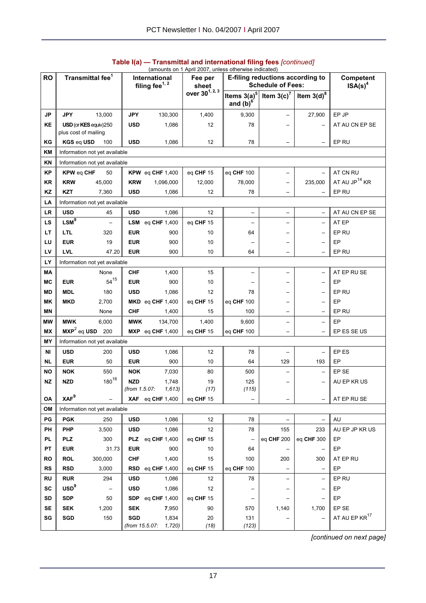|           |                                    |                                      |                |                                             | (amounts on 1 April 2007, unless otherwise indicated) |                                        |                                                              |                          |                                  |
|-----------|------------------------------------|--------------------------------------|----------------|---------------------------------------------|-------------------------------------------------------|----------------------------------------|--------------------------------------------------------------|--------------------------|----------------------------------|
| <b>RO</b> |                                    | Transmittal fee <sup>1</sup>         |                | International<br>filing fee <sup>1, 2</sup> | Fee per<br>sheet                                      |                                        | E-filing reductions according to<br><b>Schedule of Fees:</b> |                          | Competent<br>ISA(s) <sup>4</sup> |
|           |                                    |                                      |                |                                             | over 30 <sup>1, 2, 3</sup>                            | Items 3(a) <sup>5</sup><br>and $(b)^6$ | Item $3(c)^7$                                                | Item $3(d)^8$            |                                  |
| <b>JP</b> | <b>JPY</b>                         | 13,000                               | <b>JPY</b>     | 130,300                                     | 1,400                                                 | 9,300                                  |                                                              | 27,900                   | EP JP                            |
| <b>KE</b> |                                    | USD (or KES equiv)250                | <b>USD</b>     | 1,086                                       | 12                                                    | 78                                     |                                                              |                          | AT AU CN EP SE                   |
| ΚG        | plus cost of mailing<br>KGS eq USD | 100                                  | <b>USD</b>     | 1,086                                       | 12                                                    | 78                                     | $\qquad \qquad -$                                            | $\qquad \qquad -$        | EP RU                            |
| ΚM        |                                    | Information not yet available        |                |                                             |                                                       |                                        |                                                              |                          |                                  |
| <b>KN</b> |                                    | Information not yet available        |                |                                             |                                                       |                                        |                                                              |                          |                                  |
| <b>KP</b> | <b>KPW eq CHF</b>                  | 50                                   |                | KPW eq CHF $1,400$                          | eq CHF 15                                             | eq CHF 100                             | $\overline{\phantom{0}}$                                     | $\qquad \qquad -$        | AT CN RU                         |
| <b>KR</b> | <b>KRW</b>                         | 45,000                               | <b>KRW</b>     | 1,096,000                                   | 12,000                                                | 78,000                                 |                                                              | 235,000                  | AT AU JP <sup>14</sup> KR        |
| KZ        | <b>KZT</b>                         | 7,360                                | <b>USD</b>     | 1,086                                       | 12                                                    | 78                                     | $\overline{\phantom{0}}$                                     |                          | EP RU                            |
| LA        |                                    | Information not yet available        |                |                                             |                                                       |                                        |                                                              |                          |                                  |
| <b>LR</b> | <b>USD</b>                         | 45                                   | <b>USD</b>     | 1,086                                       | 12                                                    |                                        | $\qquad \qquad -$                                            | $\overline{\phantom{0}}$ | AT AU CN EP SE                   |
| LS        | $LSM^9$                            |                                      | LSM            | eq CHF 1,400                                | eq CHF 15                                             | <u>.</u>                               | $\overline{\phantom{0}}$                                     | $\overline{\phantom{0}}$ | AT EP                            |
| LT        | <b>LTL</b>                         | 320                                  | <b>EUR</b>     | 900                                         | 10                                                    | 64                                     |                                                              |                          | EP RU                            |
|           | <b>EUR</b>                         |                                      |                |                                             |                                                       |                                        | $\overline{\phantom{0}}$                                     | $\overline{\phantom{0}}$ |                                  |
| LU        |                                    | 19                                   | <b>EUR</b>     | 900                                         | 10                                                    |                                        |                                                              | -                        | EР                               |
| LV        | <b>LVL</b>                         | 47.20                                | <b>EUR</b>     | 900                                         | 10                                                    | 64                                     | $\overline{\phantom{0}}$                                     |                          | EP RU                            |
| LY        |                                    | Information not yet available        |                |                                             |                                                       |                                        |                                                              |                          |                                  |
| MА        |                                    | None<br>$54^{15}$                    | <b>CHF</b>     | 1,400                                       | 15                                                    |                                        | ÷                                                            | $\overline{\phantom{0}}$ | AT EP RU SE                      |
| <b>MC</b> | <b>EUR</b>                         |                                      | <b>EUR</b>     | 900                                         | 10                                                    |                                        | $\overline{\phantom{0}}$                                     | -                        | EР                               |
| MD        | <b>MDL</b>                         | 180                                  | <b>USD</b>     | 1,086                                       | 12                                                    | 78                                     | -                                                            | -                        | EP RU                            |
| MK        | <b>MKD</b>                         | 2,700                                |                | $MKD$ eq CHF 1,400                          | eq CHF 15                                             | eq CHF 100                             | $\overline{\phantom{0}}$                                     | $\qquad \qquad -$        | EP                               |
| <b>MN</b> |                                    | None                                 | <b>CHF</b>     | 1,400                                       | 15                                                    | 100                                    | $\overline{\phantom{0}}$                                     | $\overline{\phantom{0}}$ | EP RU                            |
| МW        | <b>MWK</b>                         | 6,000                                | <b>MWK</b>     | 134,700                                     | 1,400                                                 | 9,600                                  | $\qquad \qquad -$                                            | $\overline{\phantom{0}}$ | EP                               |
| МX        | $\textsf{MXP}^2$ eq USD            | 200                                  |                | $MXP$ eq CHF 1,400                          | eq CHF 15                                             | eq CHF 100                             | $\overline{\phantom{0}}$                                     | $\qquad \qquad -$        | EP ES SE US                      |
| MY        |                                    | Information not yet available        |                |                                             |                                                       |                                        |                                                              |                          |                                  |
| ΝI        | <b>USD</b>                         | 200                                  | <b>USD</b>     | 1,086                                       | 12                                                    | 78                                     |                                                              | $\overline{\phantom{0}}$ | EP ES                            |
| <b>NL</b> | <b>EUR</b>                         | 50                                   | <b>EUR</b>     | 900                                         | 10                                                    | 64                                     | 129                                                          | 193                      | EР                               |
| NO        | <b>NOK</b>                         | 550                                  | <b>NOK</b>     | 7,030                                       | 80                                                    | 500                                    |                                                              |                          | EP SE                            |
| <b>NZ</b> | <b>NZD</b>                         | $180^{16}$                           | <b>NZD</b>     | 1,748                                       | 19                                                    | 125<br>(115)                           | $\overline{\phantom{0}}$                                     |                          | AU EP KR US                      |
|           | XAF <sup>9</sup>                   |                                      |                | (from 1.5.07: 1,613)<br>XAF eq CHF 1,400    | (17)<br>eq CHF 15                                     |                                        |                                                              |                          |                                  |
| OA<br>OM  |                                    |                                      |                |                                             |                                                       |                                        | $\qquad \qquad -$                                            |                          | AT EP RU SE                      |
| PG        | <b>PGK</b>                         | Information not yet available<br>250 | <b>USD</b>     | 1,086                                       | 12                                                    | 78                                     |                                                              | $\overline{\phantom{0}}$ | AU                               |
| PH        | <b>PHP</b>                         | 3,500                                | <b>USD</b>     | 1,086                                       | 12                                                    | 78                                     | 155                                                          | 233                      | AU EP JP KR US                   |
| PL        | <b>PLZ</b>                         | 300                                  |                | <b>PLZ</b> eq CHF 1,400                     | eq CHF 15                                             |                                        | eq CHF 200                                                   | eq CHF 300               | EР                               |
| PT        | <b>EUR</b>                         | 31.73                                | <b>EUR</b>     | 900                                         | 10                                                    | 64                                     |                                                              |                          | EP                               |
| <b>RO</b> | <b>ROL</b>                         | 300,000                              | <b>CHF</b>     | 1,400                                       | 15                                                    | 100                                    | 200                                                          | 300                      | AT EP RU                         |
| <b>RS</b> | <b>RSD</b>                         | 3,000                                |                | $RSD$ eq CHF 1,400                          | eq CHF 15                                             | eq CHF 100                             | $\qquad \qquad -$                                            | $\qquad \qquad -$        | EP                               |
| <b>RU</b> | <b>RUR</b>                         | 294                                  | <b>USD</b>     | 1,086                                       | 12                                                    | 78                                     |                                                              | $\qquad \qquad -$        | EP RU                            |
| <b>SC</b> | USD <sup>9</sup>                   | $\overline{\phantom{m}}$             | <b>USD</b>     | 1,086                                       | 12                                                    |                                        |                                                              | —                        | EP                               |
| <b>SD</b> | <b>SDP</b>                         | 50                                   |                | SDP eq CHF 1,400                            | eq CHF 15                                             |                                        |                                                              |                          | EP                               |
| <b>SE</b> | <b>SEK</b>                         | 1,200                                | <b>SEK</b>     | 7,950                                       | 90                                                    | 570                                    | 1,140                                                        | 1,700                    | EP SE                            |
| SG        | SGD                                | 150                                  | <b>SGD</b>     | 1,834                                       | 20                                                    | 131                                    |                                                              | —                        | AT AU EP KR <sup>17</sup>        |
|           |                                    |                                      | (from 15.5.07: | 1,720)                                      | (18)                                                  | (123)                                  |                                                              |                          |                                  |

## **Table I(a) — Transmittal and international filing fees** *[continued]*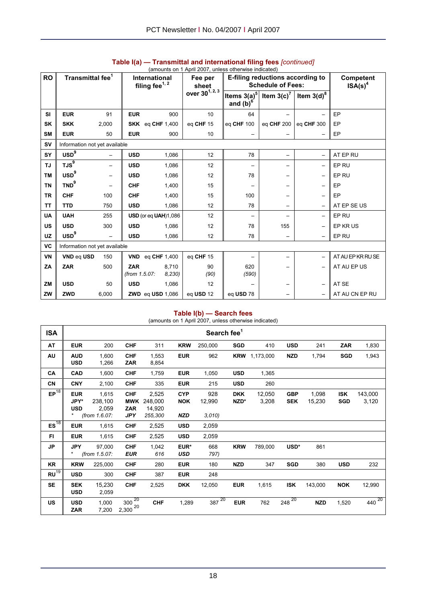|           | (amounts on 1 April 2007, unless otherwise indicated) |                          |               |                            |                            |                |                                  |                          |                     |
|-----------|-------------------------------------------------------|--------------------------|---------------|----------------------------|----------------------------|----------------|----------------------------------|--------------------------|---------------------|
| <b>RO</b> | Transmittal fee <sup>1</sup>                          |                          |               | International              | Fee per                    |                | E-filing reductions according to |                          | Competent           |
|           |                                                       |                          |               | filing fee <sup>1, 2</sup> | sheet                      |                | <b>Schedule of Fees:</b>         |                          | $\mathsf{ISA(s)}^4$ |
|           |                                                       |                          |               |                            | over 30 <sup>1, 2, 3</sup> | Items $3(a)^5$ | Item $3(c)^7$                    | Item $3(d)^8$            |                     |
|           |                                                       |                          |               |                            |                            | and $(b)^6$    |                                  |                          |                     |
| SI        | <b>EUR</b>                                            | 91                       | <b>EUR</b>    | 900                        | 10                         | 64             |                                  |                          | EP                  |
| SK        | <b>SKK</b>                                            | 2,000                    |               | SKK eq CHF 1,400           | eq CHF 15                  | eg CHF 100     | eg CHF 200                       | eg CHF 300               | EP                  |
| <b>SM</b> | <b>EUR</b>                                            | 50                       | <b>EUR</b>    | 900                        | 10                         |                |                                  | $\overline{\phantom{0}}$ | EP                  |
| <b>SV</b> | Information not yet available                         |                          |               |                            |                            |                |                                  |                          |                     |
| SY        | USD <sup>9</sup>                                      | -                        | <b>USD</b>    | 1,086                      | 12                         | 78             | -                                | $\overline{\phantom{0}}$ | AT EP RU            |
| <b>TJ</b> | TJS <sup>9</sup>                                      | -                        | <b>USD</b>    | 1,086                      | 12                         | -              |                                  | -                        | EP RU               |
| <b>TM</b> | USD <sup>9</sup>                                      | $\overline{\phantom{0}}$ | <b>USD</b>    | 1,086                      | 12                         | 78             | -                                | $\qquad \qquad -$        | EP RU               |
| <b>TN</b> | TND <sup>9</sup>                                      |                          | <b>CHF</b>    | 1,400                      | 15                         | -              |                                  | $\overline{\phantom{m}}$ | EP                  |
| <b>TR</b> | <b>CHF</b>                                            | 100                      | <b>CHF</b>    | 1,400                      | 15                         | 100            | -                                | $\qquad \qquad -$        | EP                  |
| <b>TT</b> | <b>TTD</b>                                            | 750                      | <b>USD</b>    | 1,086                      | 12                         | 78             | -                                | $\overline{\phantom{0}}$ | AT EP SE US         |
| <b>UA</b> | <b>UAH</b>                                            | 255                      |               | USD (or eq UAH)1,086       | 12 <sup>2</sup>            | -              |                                  | $\qquad \qquad -$        | EP RU               |
| <b>US</b> | <b>USD</b>                                            | 300                      | <b>USD</b>    | 1,086                      | 12                         | 78             | 155                              | $\qquad \qquad -$        | EP KR US            |
| <b>UZ</b> | $\text{USD}^9$                                        | $\overline{\phantom{0}}$ | <b>USD</b>    | 1,086                      | 12                         | 78             | $\overline{\phantom{0}}$         | $\qquad \qquad -$        | EP RU               |
| VC        | Information not yet available                         |                          |               |                            |                            |                |                                  |                          |                     |
| VN        | VND eq USD                                            | 150                      |               | VND eq CHF $1,400$         | eq CHF 15                  |                |                                  | $\qquad \qquad -$        | AT AU EP KR RU SE   |
| ZA        | <b>ZAR</b>                                            | 500                      | <b>ZAR</b>    | 8,710                      | 90                         | 620            |                                  | $\overline{\phantom{m}}$ | AT AU EP US         |
|           |                                                       |                          | (from 1.5.07: | 8,230                      | (90)                       | (590)          |                                  |                          |                     |
| <b>ZM</b> | <b>USD</b>                                            | 50                       | <b>USD</b>    | 1,086                      | 12                         |                |                                  | $\overline{\phantom{m}}$ | AT SE               |
| ZW        | <b>ZWD</b>                                            | 6,000                    |               | <b>ZWD</b> eq USD 1,086    | eq USD 12                  | eq USD 78      |                                  |                          | AT AU CN EP RU      |

# **Table I(a) — Transmittal and international filing fees** *[continued]*

#### **Table I(b) — Search fees**

(amounts on 1 April 2007, unless otherwise indicated)

| <b>ISA</b>       |                                  |                           |                                 |                            |                          | Search fee <sup>1</sup> |                    |                      |                          |                 |                          |                  |
|------------------|----------------------------------|---------------------------|---------------------------------|----------------------------|--------------------------|-------------------------|--------------------|----------------------|--------------------------|-----------------|--------------------------|------------------|
| AT               | <b>EUR</b>                       | 200                       | <b>CHF</b>                      | 311                        | <b>KRW</b>               | 250,000                 | <b>SGD</b>         | 410                  | <b>USD</b>               | 241             | <b>ZAR</b>               | 1,830            |
| AU               | <b>AUD</b><br><b>USD</b>         | 1,600<br>1,266            | <b>CHF</b><br><b>ZAR</b>        | 1,553<br>8,854             | <b>EUR</b>               | 962                     |                    | <b>KRW</b> 1,173,000 | <b>NZD</b>               | 1,794           | <b>SGD</b>               | 1,943            |
| CA               | <b>CAD</b>                       | 1,600                     | <b>CHF</b>                      | 1,759                      | <b>EUR</b>               | 1,050                   | <b>USD</b>         | 1,365                |                          |                 |                          |                  |
| CN               | <b>CNY</b>                       | 2,100                     | <b>CHF</b>                      | 335                        | <b>EUR</b>               | 215                     | <b>USD</b>         | 260                  |                          |                 |                          |                  |
| EP <sup>18</sup> | <b>EUR</b><br>JPY*<br><b>USD</b> | 1,615<br>238,100<br>2,059 | <b>CHF</b><br>MWK<br><b>ZAR</b> | 2,525<br>248,000<br>14,920 | <b>CYP</b><br><b>NOK</b> | 928<br>12,990           | <b>DKK</b><br>NZD* | 12,050<br>3,208      | <b>GBP</b><br><b>SEK</b> | 1,098<br>15,230 | <b>ISK</b><br><b>SGD</b> | 143,000<br>3,120 |
|                  | $^{\ast}$                        | (from 1.6.07:             | <b>JPY</b>                      | 255,300                    | <b>NZD</b>               | 3,010                   |                    |                      |                          |                 |                          |                  |
| ES <sup>18</sup> | <b>EUR</b>                       | 1,615                     | <b>CHF</b>                      | 2,525                      | <b>USD</b>               | 2,059                   |                    |                      |                          |                 |                          |                  |
| FI.              | <b>EUR</b>                       | 1,615                     | <b>CHF</b>                      | 2,525                      | <b>USD</b>               | 2,059                   |                    |                      |                          |                 |                          |                  |
| JP               | <b>JPY</b><br>*                  | 97,000<br>(from 1.5.07:   | <b>CHF</b><br><b>EUR</b>        | 1,042<br>616               | EUR*<br><b>USD</b>       | 668<br>797)             | <b>KRW</b>         | 789,000              | USD*                     | 861             |                          |                  |
| KR               | <b>KRW</b>                       | 225,000                   | <b>CHF</b>                      | 280                        | <b>EUR</b>               | 180                     | <b>NZD</b>         | 347                  | <b>SGD</b>               | 380             | <b>USD</b>               | 232              |
| $RU^{19}$        | <b>USD</b>                       | 300                       | <b>CHF</b>                      | 387                        | <b>EUR</b>               | 248                     |                    |                      |                          |                 |                          |                  |
| <b>SE</b>        | <b>SEK</b><br><b>USD</b>         | 15,230<br>2,059           | <b>CHF</b>                      | 2,525                      | <b>DKK</b>               | 12,050                  | <b>EUR</b>         | 1,615                | <b>ISK</b>               | 143,000         | <b>NOK</b>               | 12,990           |
| <b>US</b>        | <b>USD</b><br><b>ZAR</b>         | 1,000<br>7,200            | $300^{20}$<br>$2,300^{20}$      | <b>CHF</b>                 | 1,289                    | $387\frac{20}{ }$       | <b>EUR</b>         | 762                  | $248^{20}$               | <b>NZD</b>      | 1,520                    | $440^{20}$       |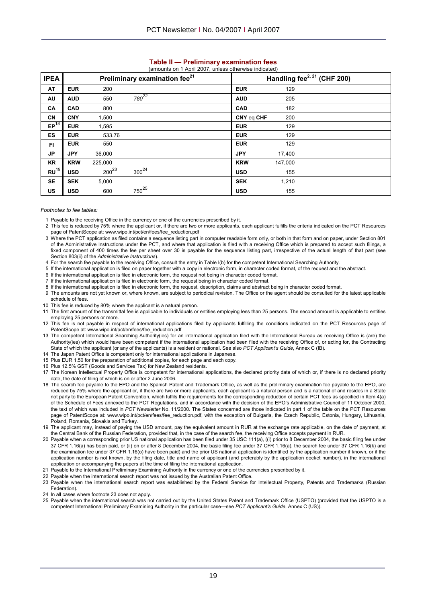| <b>IPEA</b> |            |            | Preliminary examination fee <sup>21</sup> |            |         | Handling fee <sup>2, 21</sup> (CHF 200) |
|-------------|------------|------------|-------------------------------------------|------------|---------|-----------------------------------------|
| AT          | <b>EUR</b> | 200        |                                           | <b>EUR</b> | 129     |                                         |
| AU          | <b>AUD</b> | 550        | 780 <sup>22</sup>                         | <b>AUD</b> | 205     |                                         |
| CA          | <b>CAD</b> | 800        |                                           | <b>CAD</b> | 182     |                                         |
| <b>CN</b>   | <b>CNY</b> | 1,500      |                                           | CNY eq CHF | 200     |                                         |
| $EP^{18}$   | <b>EUR</b> | 1,595      |                                           | <b>EUR</b> | 129     |                                         |
| <b>ES</b>   | <b>EUR</b> | 533.76     |                                           | <b>EUR</b> | 129     |                                         |
| FI.         | <b>EUR</b> | 550        |                                           | <b>EUR</b> | 129     |                                         |
| JP          | <b>JPY</b> | 36,000     |                                           | <b>JPY</b> | 17,400  |                                         |
| KR          | <b>KRW</b> | 225,000    |                                           | <b>KRW</b> | 147,000 |                                         |
| $RU^{19}$   | <b>USD</b> | $200^{23}$ | $300^{24}$                                | <b>USD</b> | 155     |                                         |
| <b>SE</b>   | <b>SEK</b> | 5,000      |                                           | <b>SEK</b> | 1,210   |                                         |
| US          | <b>USD</b> | 600        | $750^{25}$                                | <b>USD</b> | 155     |                                         |

# **Table II — Preliminary examination fees**

#### *Footnotes to fee tables:*

- 1 Payable to the receiving Office in the currency or one of the currencies prescribed by it.
- 2 This fee is reduced by 75% where the applicant or, if there are two or more applicants, each applicant fulfills the criteria indicated on the PCT Resources page of PatentScope at: www.wipo.int/pct/en/fees/fee\_reduction.pdf
- 3 Where the PCT application as filed contains a sequence listing part in computer readable form only, or both in that form and on paper, under Section 801 of the Administrative Instructions under the PCT, and where that application is filed with a receiving Office which is prepared to accept such filings, a fixed component of 400 times the fee per sheet over 30 is payable for the sequence listing part, irrespective of the actual length of that part (see Section 803(ii) of the *Administrative Instructions*).
- 4 For the search fee payable to the receiving Office, consult the entry in Table I(b) for the competent International Searching Authority.
- 5 If the international application is filed on paper together with a copy in electronic form, in character coded format, of the request and the abstract.
- 6 If the international application is filed in electronic form, the request not being in character coded format.
- 7 If the international application is filed in electronic form, the request being in character coded format.
- 8 If the international application is filed in electronic form, the request, description, claims and abstract being in character coded format.
- 9 The amounts are not yet known or, where known, are subject to periodical revision. The Office or the agent should be consulted for the latest applicable schedule of fees.
- 10 This fee is reduced by 80% where the applicant is a natural person.
- 11 The first amount of the transmittal fee is applicable to individuals or entities employing less than 25 persons. The second amount is applicable to entities employing 25 persons or more.
- 12 This fee is not payable in respect of international applications filed by applicants fulfilling the conditions indicated on the PCT Resources page of PatentScope at: www.wipo.int/pct/en/fees/fee\_reduction.pdf
- 13 The competent International Searching Authority(ies) for an international application filed with the International Bureau as receiving Office is (are) the Authority(ies) which would have been competent if the international application had been filed with the receiving Office of, or acting for, the Contracting State of which the applicant (or any of the applicants) is a resident or national. See also *PCT Applicant's Guide*, Annex C (IB).
- 14 The Japan Patent Office is competent only for international applications in Japanese.
- 15 Plus EUR 1.50 for the preparation of additional copies, for each page and each copy.
- 16 Plus 12.5% GST (Goods and Services Tax) for New Zealand residents.
- 17 The Korean Intellectual Property Office is competent for international applications, the declared priority date of which or, if there is no declared priority date, the date of filing of which is on or after 2 June 2006.
- 18 The search fee payable to the EPO and the Spanish Patent and Trademark Office, as well as the preliminary examination fee payable to the EPO, are reduced by 75% where the applicant or, if there are two or more applicants, each applicant is a natural person and is a national of and resides in a State not party to the European Patent Convention, which fulfils the requirements for the corresponding reduction of certain PCT fees as specified in Item 4(a) of the Schedule of Fees annexed to the PCT Regulations, and in accordance with the decision of the EPO's Administrative Council of 11 October 2000, the text of which was included in *PCT Newsletter* No. 11/2000. The States concerned are those indicated in part 1 of the table on the PCT Resources page of PatentScope at: www.wipo.int/pct/en/fees/fee\_reduction.pdf, with the exception of Bulgaria, the Czech Republic, Estonia, Hungary, Lithuania, Poland, Romania, Slovakia and Turkey.
- 19 The applicant may, instead of paying the USD amount, pay the equivalent amount in RUR at the exchange rate applicable, on the date of payment, at the Central Bank of the Russian Federation, provided that, in the case of the search fee, the receiving Office accepts payment in RUR.
- 20 Payable when a corresponding prior US national application has been filed under 35 USC 111(a), ((i) prior to 8 December 2004, the basic filing fee under 37 CFR 1.16(a) has been paid, or (ii) on or after 8 December 2004, the basic filing fee under 37 CFR 1.16(a), the search fee under 37 CFR 1.16(k) and the examination fee under 37 CFR 1.16(o) have been paid) and the prior US national application is identified by the application number if known, or if the application number is not known, by the filing date, title and name of applicant (and preferably by the application docket number), in the international application or accompanying the papers at the time of filing the international application.
- 21 Payable to the International Preliminary Examining Authority in the currency or one of the currencies prescribed by it.
- 22 Payable when the international search report was not issued by the Australian Patent Office.
- 23 Payable when the international search report was established by the Federal Service for Intellectual Property, Patents and Trademarks (Russian Federation).
- 24 In all cases where footnote 23 does not apply.
- 25 Payable when the international search was not carried out by the United States Patent and Trademark Office (USPTO) (provided that the USPTO is a competent International Preliminary Examining Authority in the particular case—see *PCT Applicant's Guide*, Annex C (US)).